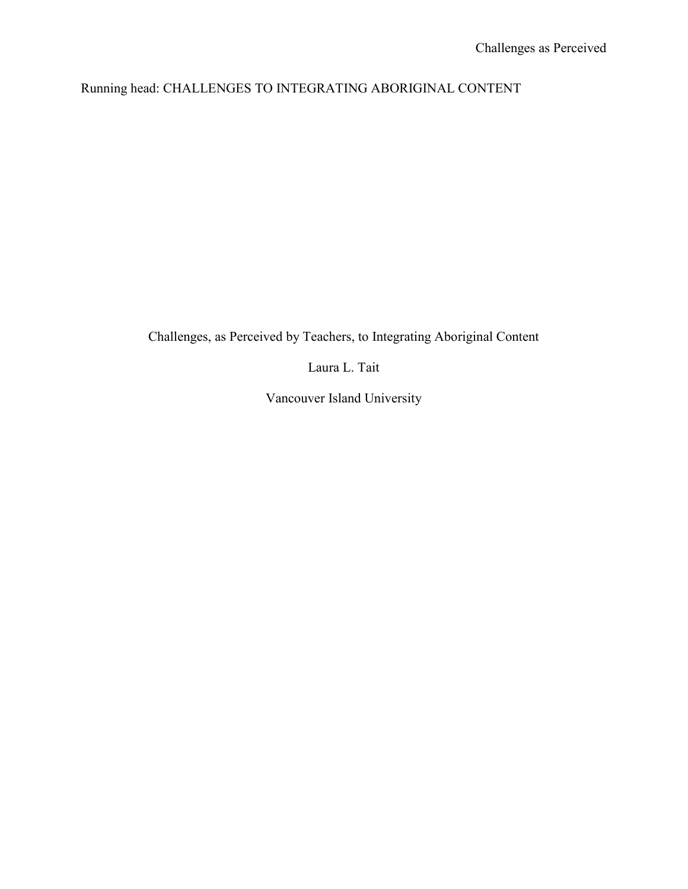## Running head: CHALLENGES TO INTEGRATING ABORIGINAL CONTENT

# Challenges, as Perceived by Teachers, to Integrating Aboriginal Content

Laura L. Tait

Vancouver Island University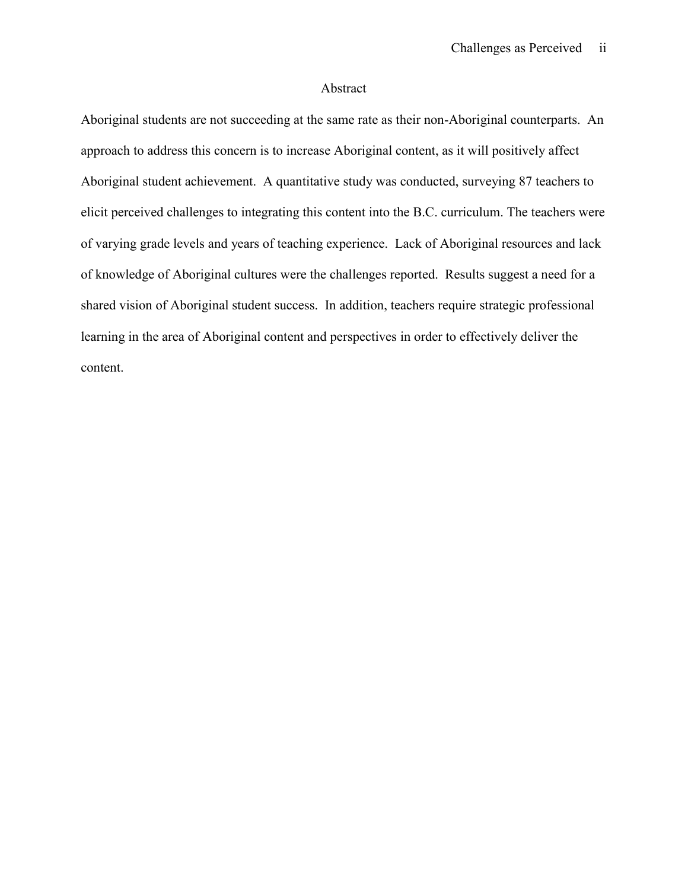#### Abstract

Aboriginal students are not succeeding at the same rate as their non-Aboriginal counterparts. An approach to address this concern is to increase Aboriginal content, as it will positively affect Aboriginal student achievement. A quantitative study was conducted, surveying 87 teachers to elicit perceived challenges to integrating this content into the B.C. curriculum. The teachers were of varying grade levels and years of teaching experience. Lack of Aboriginal resources and lack of knowledge of Aboriginal cultures were the challenges reported. Results suggest a need for a shared vision of Aboriginal student success. In addition, teachers require strategic professional learning in the area of Aboriginal content and perspectives in order to effectively deliver the content.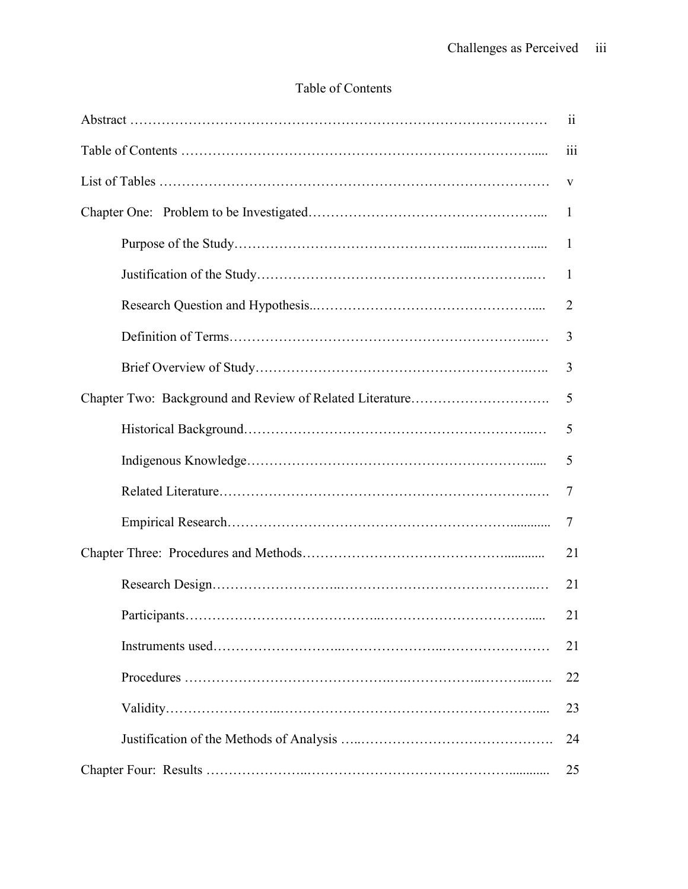# Table of Contents

| 11           |
|--------------|
| 111          |
| V            |
| $\mathbf{1}$ |
| 1            |
| 1            |
| 2            |
| 3            |
| 3            |
| 5            |
| 5            |
| 5            |
| 7            |
| 7            |
| 21           |
| 21           |
| 21           |
| 21           |
| 22           |
| 23           |
| 24           |
| 25           |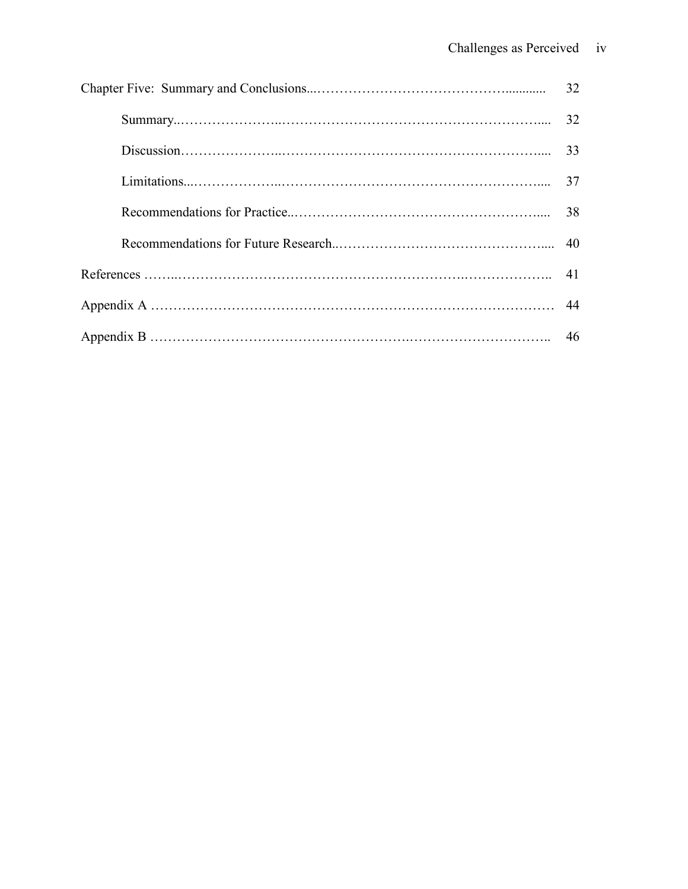| 32 |
|----|
| 32 |
| 33 |
| 37 |
| 38 |
| 40 |
|    |
|    |
| 46 |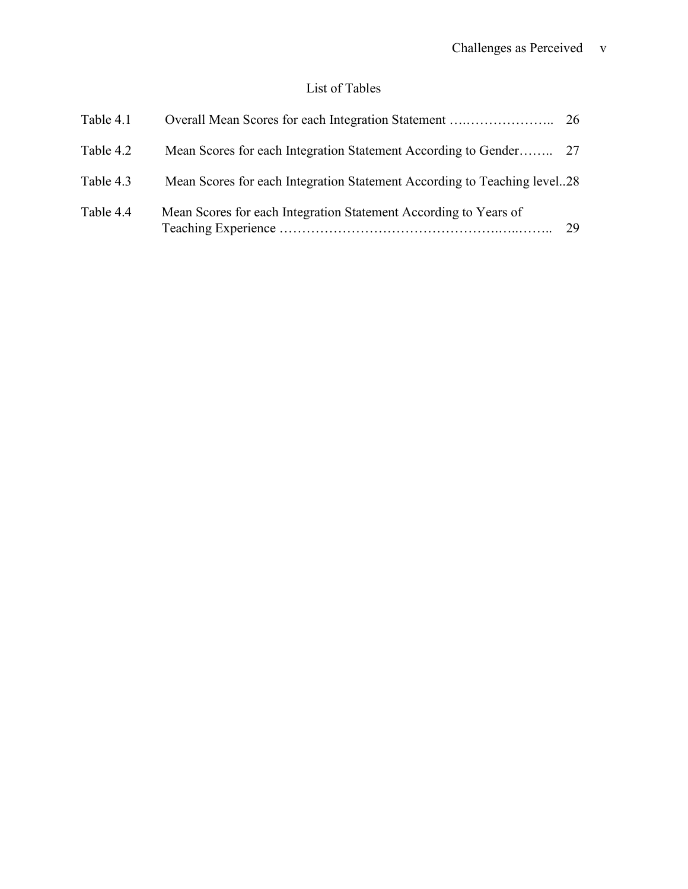## List of Tables

| Table 4.1 |                                                                          |    |
|-----------|--------------------------------------------------------------------------|----|
| Table 4.2 |                                                                          |    |
| Table 4.3 | Mean Scores for each Integration Statement According to Teaching level28 |    |
| Table 4.4 | Mean Scores for each Integration Statement According to Years of         | 29 |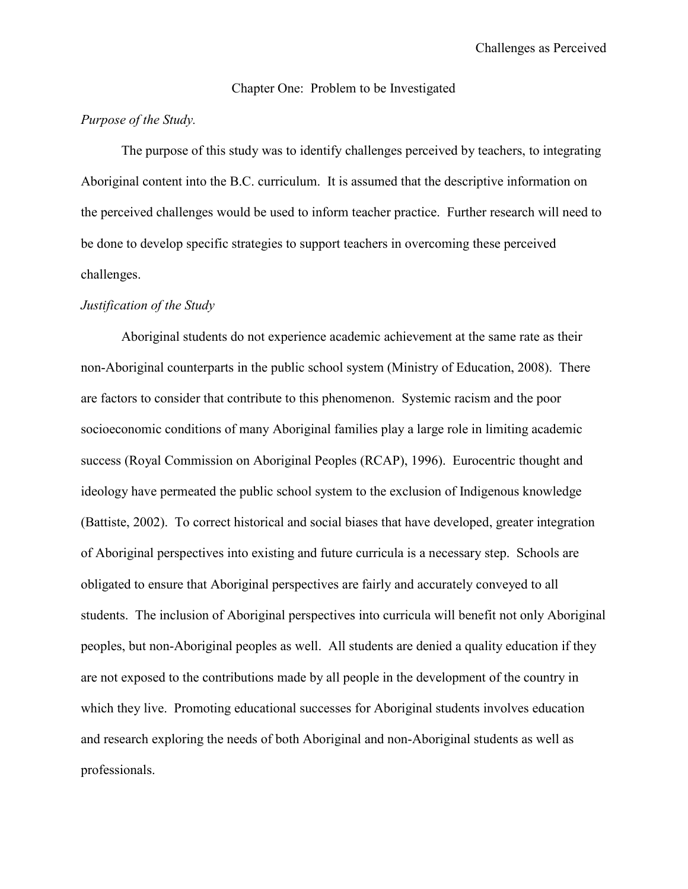#### Chapter One: Problem to be Investigated

#### *Purpose of the Study.*

The purpose of this study was to identify challenges perceived by teachers, to integrating Aboriginal content into the B.C. curriculum. It is assumed that the descriptive information on the perceived challenges would be used to inform teacher practice. Further research will need to be done to develop specific strategies to support teachers in overcoming these perceived challenges.

#### *Justification of the Study*

Aboriginal students do not experience academic achievement at the same rate as their non-Aboriginal counterparts in the public school system (Ministry of Education, 2008). There are factors to consider that contribute to this phenomenon. Systemic racism and the poor socioeconomic conditions of many Aboriginal families play a large role in limiting academic success (Royal Commission on Aboriginal Peoples (RCAP), 1996). Eurocentric thought and ideology have permeated the public school system to the exclusion of Indigenous knowledge (Battiste, 2002). To correct historical and social biases that have developed, greater integration of Aboriginal perspectives into existing and future curricula is a necessary step. Schools are obligated to ensure that Aboriginal perspectives are fairly and accurately conveyed to all students. The inclusion of Aboriginal perspectives into curricula will benefit not only Aboriginal peoples, but non-Aboriginal peoples as well. All students are denied a quality education if they are not exposed to the contributions made by all people in the development of the country in which they live. Promoting educational successes for Aboriginal students involves education and research exploring the needs of both Aboriginal and non-Aboriginal students as well as professionals.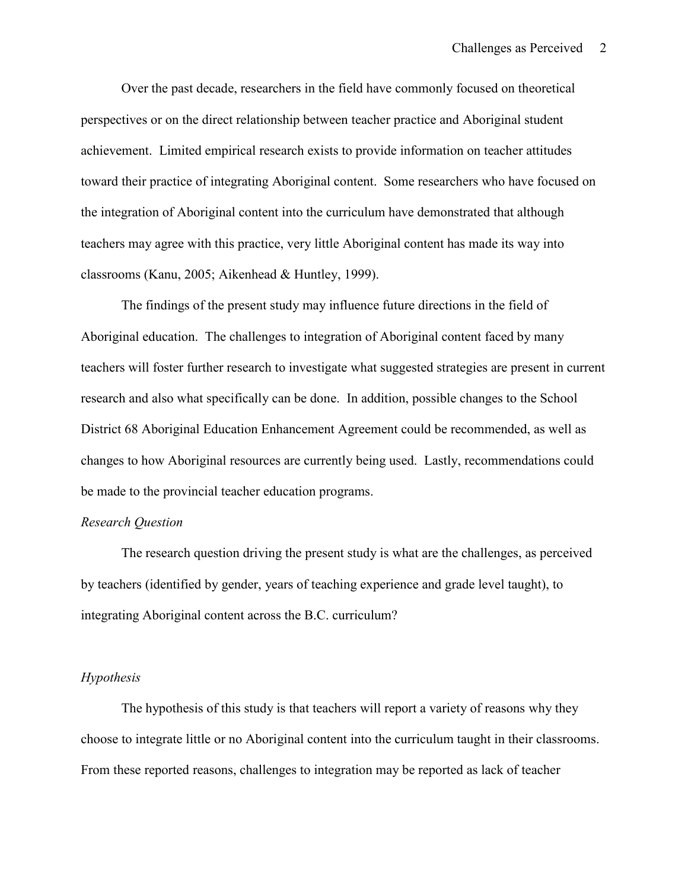Over the past decade, researchers in the field have commonly focused on theoretical perspectives or on the direct relationship between teacher practice and Aboriginal student achievement. Limited empirical research exists to provide information on teacher attitudes toward their practice of integrating Aboriginal content. Some researchers who have focused on the integration of Aboriginal content into the curriculum have demonstrated that although teachers may agree with this practice, very little Aboriginal content has made its way into classrooms (Kanu, 2005; Aikenhead & Huntley, 1999).

The findings of the present study may influence future directions in the field of Aboriginal education. The challenges to integration of Aboriginal content faced by many teachers will foster further research to investigate what suggested strategies are present in current research and also what specifically can be done. In addition, possible changes to the School District 68 Aboriginal Education Enhancement Agreement could be recommended, as well as changes to how Aboriginal resources are currently being used. Lastly, recommendations could be made to the provincial teacher education programs.

#### *Research Question*

The research question driving the present study is what are the challenges, as perceived by teachers (identified by gender, years of teaching experience and grade level taught), to integrating Aboriginal content across the B.C. curriculum?

#### *Hypothesis*

The hypothesis of this study is that teachers will report a variety of reasons why they choose to integrate little or no Aboriginal content into the curriculum taught in their classrooms. From these reported reasons, challenges to integration may be reported as lack of teacher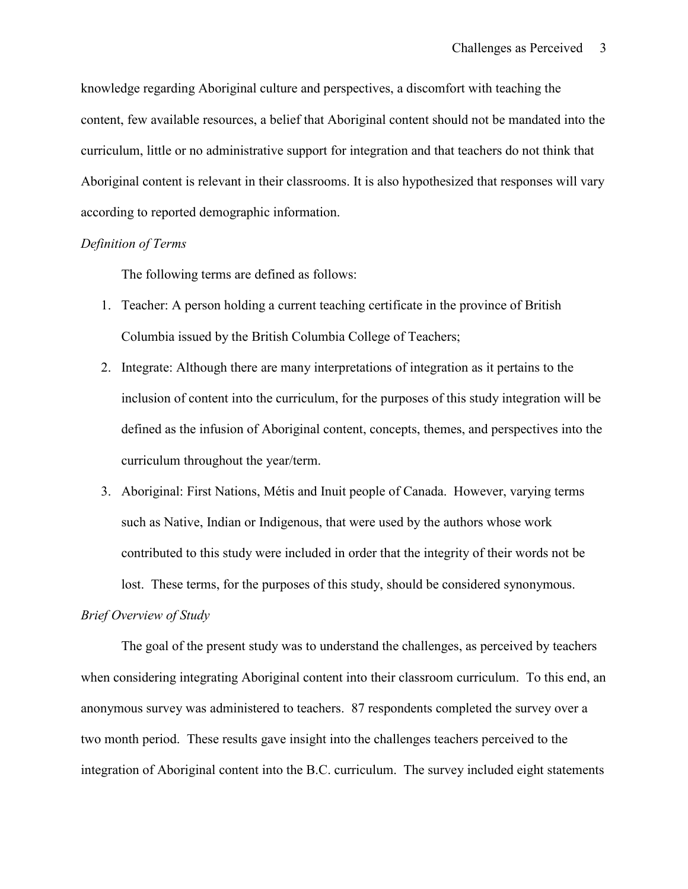knowledge regarding Aboriginal culture and perspectives, a discomfort with teaching the content, few available resources, a belief that Aboriginal content should not be mandated into the curriculum, little or no administrative support for integration and that teachers do not think that Aboriginal content is relevant in their classrooms. It is also hypothesized that responses will vary according to reported demographic information.

#### *Definition of Terms*

The following terms are defined as follows:

- 1. Teacher: A person holding a current teaching certificate in the province of British Columbia issued by the British Columbia College of Teachers;
- 2. Integrate: Although there are many interpretations of integration as it pertains to the inclusion of content into the curriculum, for the purposes of this study integration will be defined as the infusion of Aboriginal content, concepts, themes, and perspectives into the curriculum throughout the year/term.
- 3. Aboriginal: First Nations, Métis and Inuit people of Canada. However, varying terms such as Native, Indian or Indigenous, that were used by the authors whose work contributed to this study were included in order that the integrity of their words not be lost. These terms, for the purposes of this study, should be considered synonymous.

#### *Brief Overview of Study*

The goal of the present study was to understand the challenges, as perceived by teachers when considering integrating Aboriginal content into their classroom curriculum. To this end, an anonymous survey was administered to teachers. 87 respondents completed the survey over a two month period. These results gave insight into the challenges teachers perceived to the integration of Aboriginal content into the B.C. curriculum. The survey included eight statements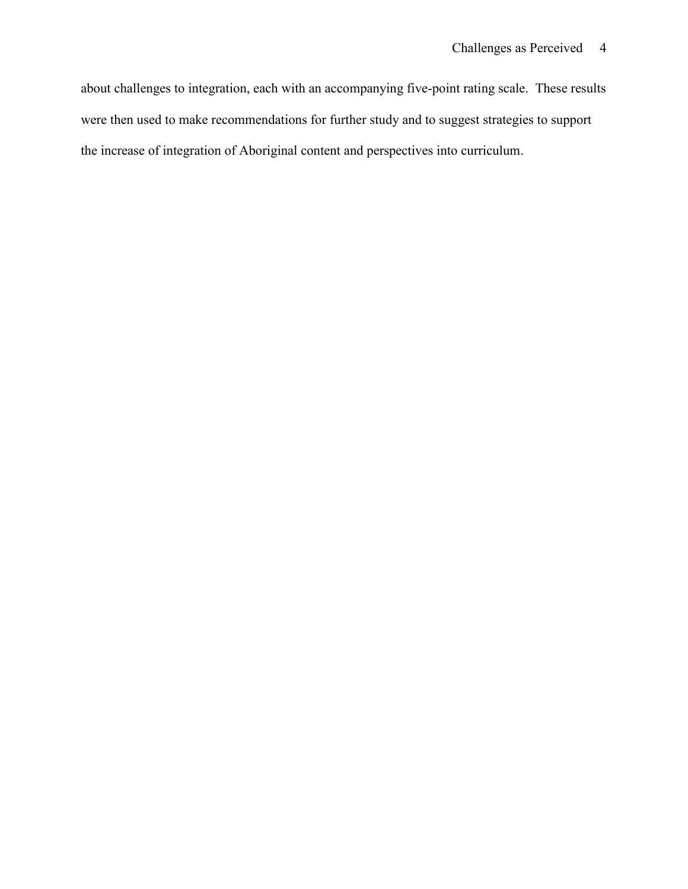about challenges to integration, each with an accompanying five-point rating scale. These results were then used to make recommendations for further study and to suggest strategies to support the increase of integration of Aboriginal content and perspectives into curriculum.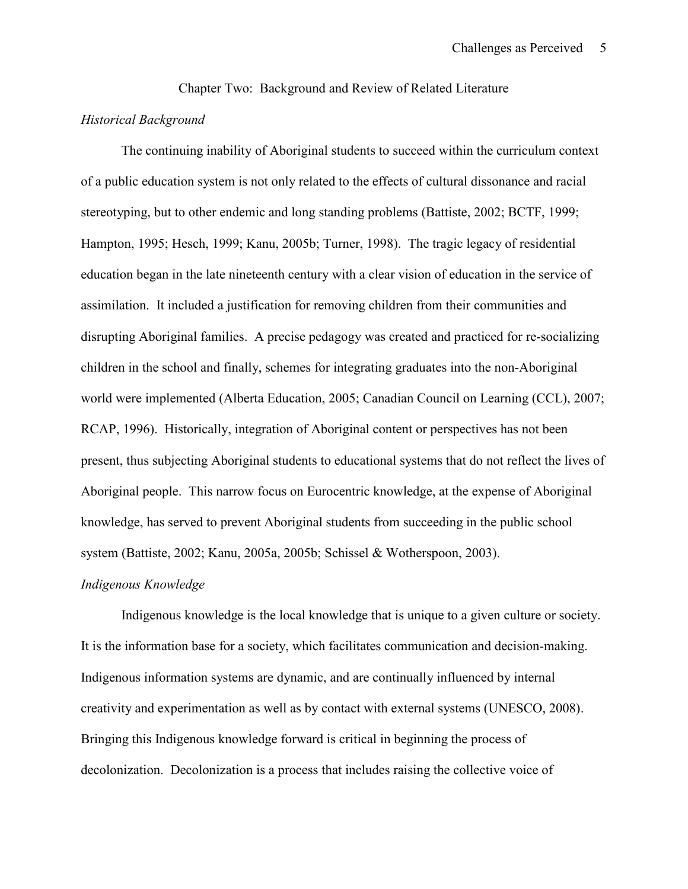Chapter Two: Background and Review of Related Literature

#### *Historical Background*

The continuing inability of Aboriginal students to succeed within the curriculum context of a public education system is not only related to the effects of cultural dissonance and racial stereotyping, but to other endemic and long standing problems (Battiste, 2002; BCTF, 1999; Hampton, 1995; Hesch, 1999; Kanu, 2005b; Turner, 1998). The tragic legacy of residential education began in the late nineteenth century with a clear vision of education in the service of assimilation. It included a justification for removing children from their communities and disrupting Aboriginal families. A precise pedagogy was created and practiced for re-socializing children in the school and finally, schemes for integrating graduates into the non-Aboriginal world were implemented (Alberta Education, 2005; Canadian Council on Learning (CCL), 2007; RCAP, 1996). Historically, integration of Aboriginal content or perspectives has not been present, thus subjecting Aboriginal students to educational systems that do not reflect the lives of Aboriginal people. This narrow focus on Eurocentric knowledge, at the expense of Aboriginal knowledge, has served to prevent Aboriginal students from succeeding in the public school system (Battiste, 2002; Kanu, 2005a, 2005b; Schissel & Wotherspoon, 2003).

#### *Indigenous Knowledge*

Indigenous knowledge is the local knowledge that is unique to a given culture or society. It is the information base for a society, which facilitates communication and decision-making. Indigenous information systems are dynamic, and are continually influenced by internal creativity and experimentation as well as by contact with external systems (UNESCO, 2008). Bringing this Indigenous knowledge forward is critical in beginning the process of decolonization. Decolonization is a process that includes raising the collective voice of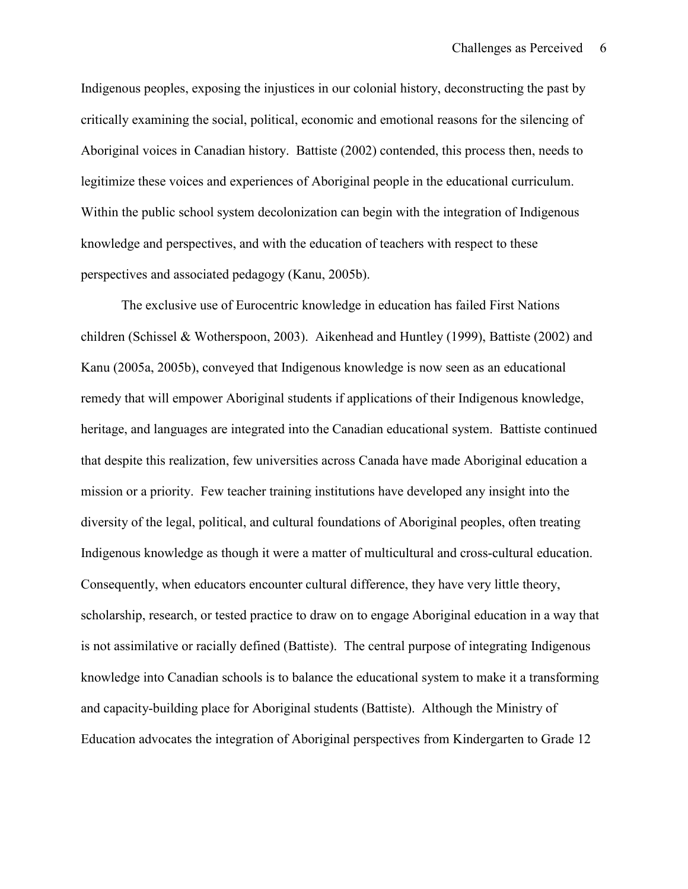Indigenous peoples, exposing the injustices in our colonial history, deconstructing the past by critically examining the social, political, economic and emotional reasons for the silencing of Aboriginal voices in Canadian history. Battiste (2002) contended, this process then, needs to legitimize these voices and experiences of Aboriginal people in the educational curriculum. Within the public school system decolonization can begin with the integration of Indigenous knowledge and perspectives, and with the education of teachers with respect to these perspectives and associated pedagogy (Kanu, 2005b).

The exclusive use of Eurocentric knowledge in education has failed First Nations children (Schissel & Wotherspoon, 2003). Aikenhead and Huntley (1999), Battiste (2002) and Kanu (2005a, 2005b), conveyed that Indigenous knowledge is now seen as an educational remedy that will empower Aboriginal students if applications of their Indigenous knowledge, heritage, and languages are integrated into the Canadian educational system. Battiste continued that despite this realization, few universities across Canada have made Aboriginal education a mission or a priority. Few teacher training institutions have developed any insight into the diversity of the legal, political, and cultural foundations of Aboriginal peoples, often treating Indigenous knowledge as though it were a matter of multicultural and cross-cultural education. Consequently, when educators encounter cultural difference, they have very little theory, scholarship, research, or tested practice to draw on to engage Aboriginal education in a way that is not assimilative or racially defined (Battiste). The central purpose of integrating Indigenous knowledge into Canadian schools is to balance the educational system to make it a transforming and capacity-building place for Aboriginal students (Battiste). Although the Ministry of Education advocates the integration of Aboriginal perspectives from Kindergarten to Grade 12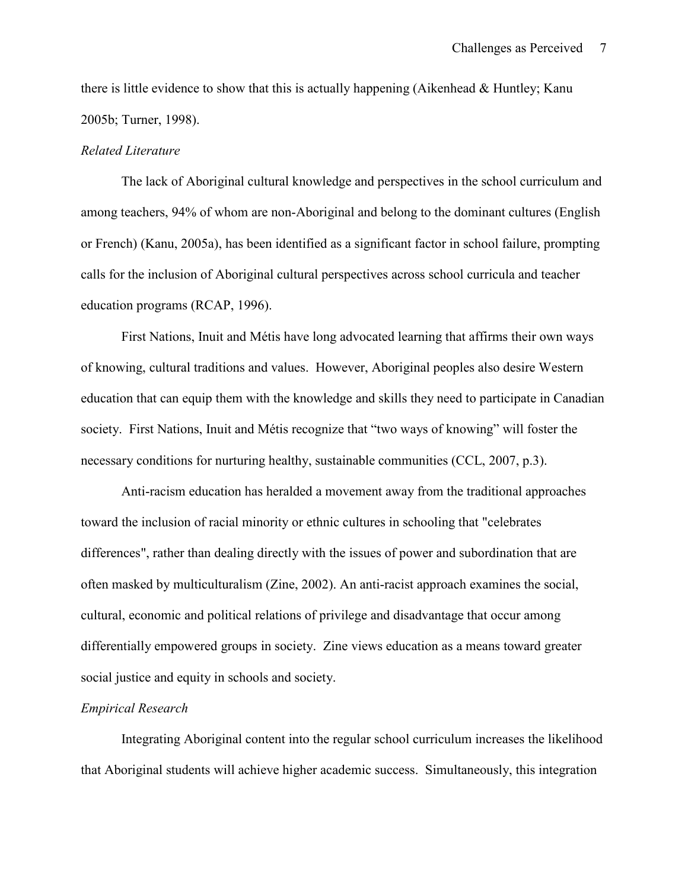there is little evidence to show that this is actually happening (Aikenhead & Huntley; Kanu 2005b; Turner, 1998).

#### *Related Literature*

The lack of Aboriginal cultural knowledge and perspectives in the school curriculum and among teachers, 94% of whom are non-Aboriginal and belong to the dominant cultures (English or French) (Kanu, 2005a), has been identified as a significant factor in school failure, prompting calls for the inclusion of Aboriginal cultural perspectives across school curricula and teacher education programs (RCAP, 1996).

First Nations, Inuit and Métis have long advocated learning that affirms their own ways of knowing, cultural traditions and values. However, Aboriginal peoples also desire Western education that can equip them with the knowledge and skills they need to participate in Canadian society. First Nations, Inuit and Métis recognize that "two ways of knowing" will foster the necessary conditions for nurturing healthy, sustainable communities (CCL, 2007, p.3).

Anti-racism education has heralded a movement away from the traditional approaches toward the inclusion of racial minority or ethnic cultures in schooling that "celebrates differences", rather than dealing directly with the issues of power and subordination that are often masked by multiculturalism (Zine, 2002). An anti-racist approach examines the social, cultural, economic and political relations of privilege and disadvantage that occur among differentially empowered groups in society. Zine views education as a means toward greater social justice and equity in schools and society.

#### *Empirical Research*

Integrating Aboriginal content into the regular school curriculum increases the likelihood that Aboriginal students will achieve higher academic success. Simultaneously, this integration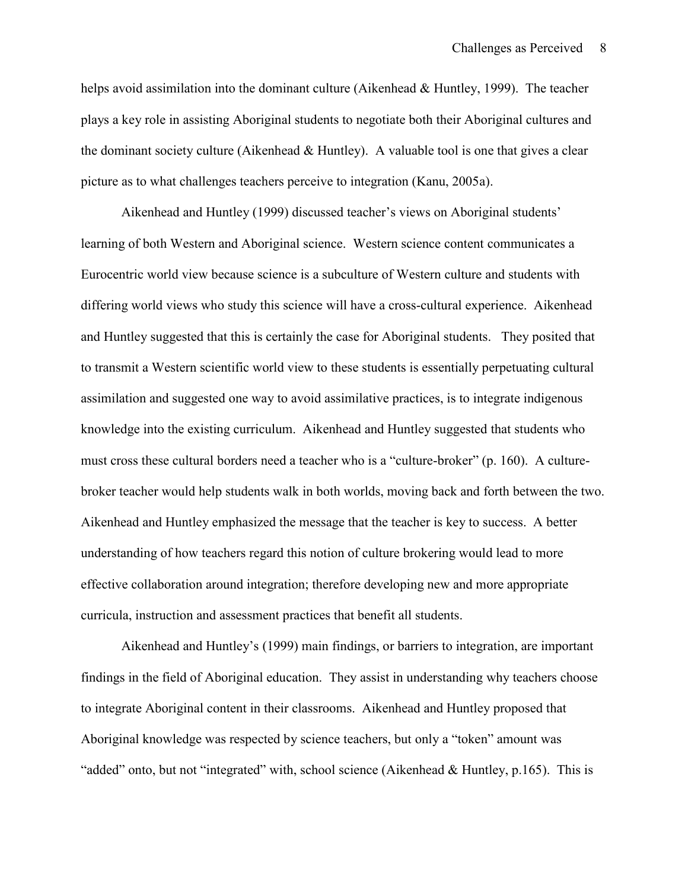helps avoid assimilation into the dominant culture (Aikenhead & Huntley, 1999). The teacher plays a key role in assisting Aboriginal students to negotiate both their Aboriginal cultures and the dominant society culture (Aikenhead  $&$  Huntley). A valuable tool is one that gives a clear picture as to what challenges teachers perceive to integration (Kanu, 2005a).

Aikenhead and Huntley (1999) discussed teacher's views on Aboriginal students' learning of both Western and Aboriginal science. Western science content communicates a Eurocentric world view because science is a subculture of Western culture and students with differing world views who study this science will have a cross-cultural experience. Aikenhead and Huntley suggested that this is certainly the case for Aboriginal students. They posited that to transmit a Western scientific world view to these students is essentially perpetuating cultural assimilation and suggested one way to avoid assimilative practices, is to integrate indigenous knowledge into the existing curriculum. Aikenhead and Huntley suggested that students who must cross these cultural borders need a teacher who is a "culture-broker" (p. 160). A culturebroker teacher would help students walk in both worlds, moving back and forth between the two. Aikenhead and Huntley emphasized the message that the teacher is key to success. A better understanding of how teachers regard this notion of culture brokering would lead to more effective collaboration around integration; therefore developing new and more appropriate curricula, instruction and assessment practices that benefit all students.

Aikenhead and Huntley's (1999) main findings, or barriers to integration, are important findings in the field of Aboriginal education. They assist in understanding why teachers choose to integrate Aboriginal content in their classrooms. Aikenhead and Huntley proposed that Aboriginal knowledge was respected by science teachers, but only a "token" amount was "added" onto, but not "integrated" with, school science (Aikenhead & Huntley, p.165). This is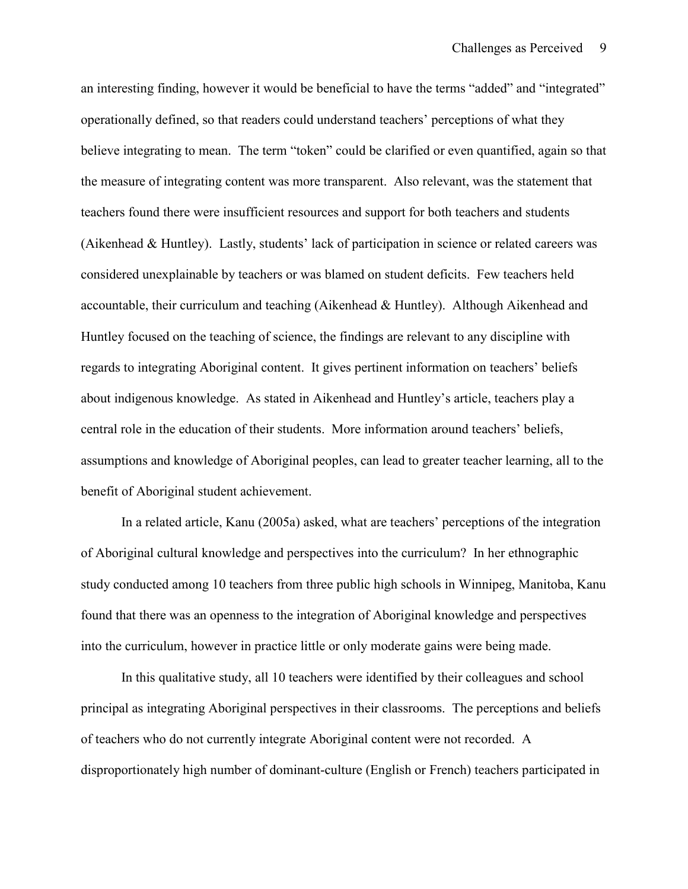an interesting finding, however it would be beneficial to have the terms "added" and "integrated" operationally defined, so that readers could understand teachers' perceptions of what they believe integrating to mean. The term "token" could be clarified or even quantified, again so that the measure of integrating content was more transparent. Also relevant, was the statement that teachers found there were insufficient resources and support for both teachers and students (Aikenhead & Huntley). Lastly, students' lack of participation in science or related careers was considered unexplainable by teachers or was blamed on student deficits. Few teachers held accountable, their curriculum and teaching (Aikenhead & Huntley). Although Aikenhead and Huntley focused on the teaching of science, the findings are relevant to any discipline with regards to integrating Aboriginal content. It gives pertinent information on teachers' beliefs about indigenous knowledge. As stated in Aikenhead and Huntley's article, teachers play a central role in the education of their students. More information around teachers' beliefs, assumptions and knowledge of Aboriginal peoples, can lead to greater teacher learning, all to the benefit of Aboriginal student achievement.

In a related article, Kanu (2005a) asked, what are teachers' perceptions of the integration of Aboriginal cultural knowledge and perspectives into the curriculum? In her ethnographic study conducted among 10 teachers from three public high schools in Winnipeg, Manitoba, Kanu found that there was an openness to the integration of Aboriginal knowledge and perspectives into the curriculum, however in practice little or only moderate gains were being made.

In this qualitative study, all 10 teachers were identified by their colleagues and school principal as integrating Aboriginal perspectives in their classrooms. The perceptions and beliefs of teachers who do not currently integrate Aboriginal content were not recorded. A disproportionately high number of dominant-culture (English or French) teachers participated in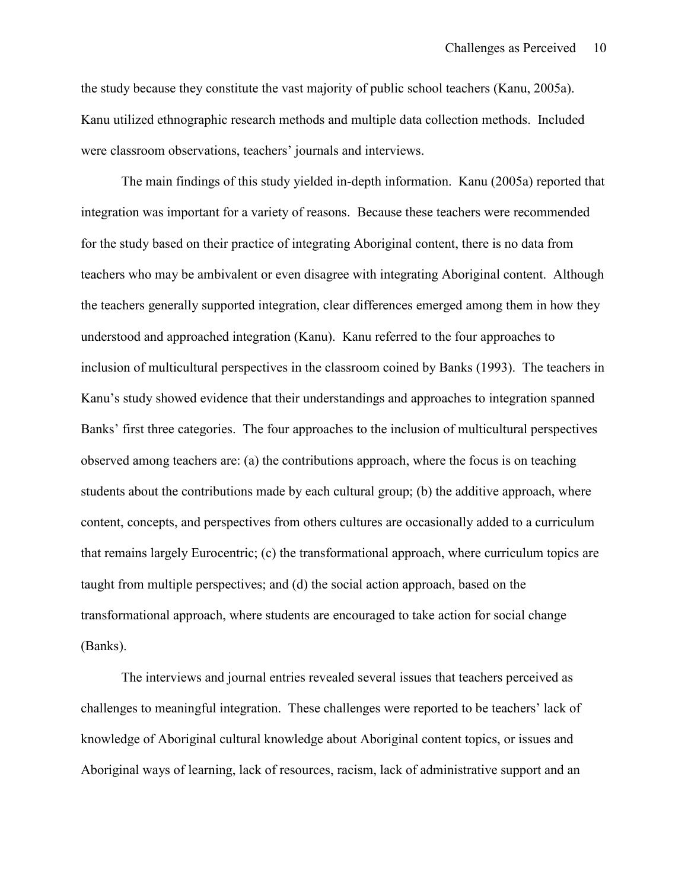the study because they constitute the vast majority of public school teachers (Kanu, 2005a). Kanu utilized ethnographic research methods and multiple data collection methods. Included were classroom observations, teachers' journals and interviews.

The main findings of this study yielded in-depth information. Kanu (2005a) reported that integration was important for a variety of reasons. Because these teachers were recommended for the study based on their practice of integrating Aboriginal content, there is no data from teachers who may be ambivalent or even disagree with integrating Aboriginal content. Although the teachers generally supported integration, clear differences emerged among them in how they understood and approached integration (Kanu). Kanu referred to the four approaches to inclusion of multicultural perspectives in the classroom coined by Banks (1993). The teachers in Kanu's study showed evidence that their understandings and approaches to integration spanned Banks' first three categories. The four approaches to the inclusion of multicultural perspectives observed among teachers are: (a) the contributions approach, where the focus is on teaching students about the contributions made by each cultural group; (b) the additive approach, where content, concepts, and perspectives from others cultures are occasionally added to a curriculum that remains largely Eurocentric; (c) the transformational approach, where curriculum topics are taught from multiple perspectives; and (d) the social action approach, based on the transformational approach, where students are encouraged to take action for social change (Banks).

The interviews and journal entries revealed several issues that teachers perceived as challenges to meaningful integration. These challenges were reported to be teachers' lack of knowledge of Aboriginal cultural knowledge about Aboriginal content topics, or issues and Aboriginal ways of learning, lack of resources, racism, lack of administrative support and an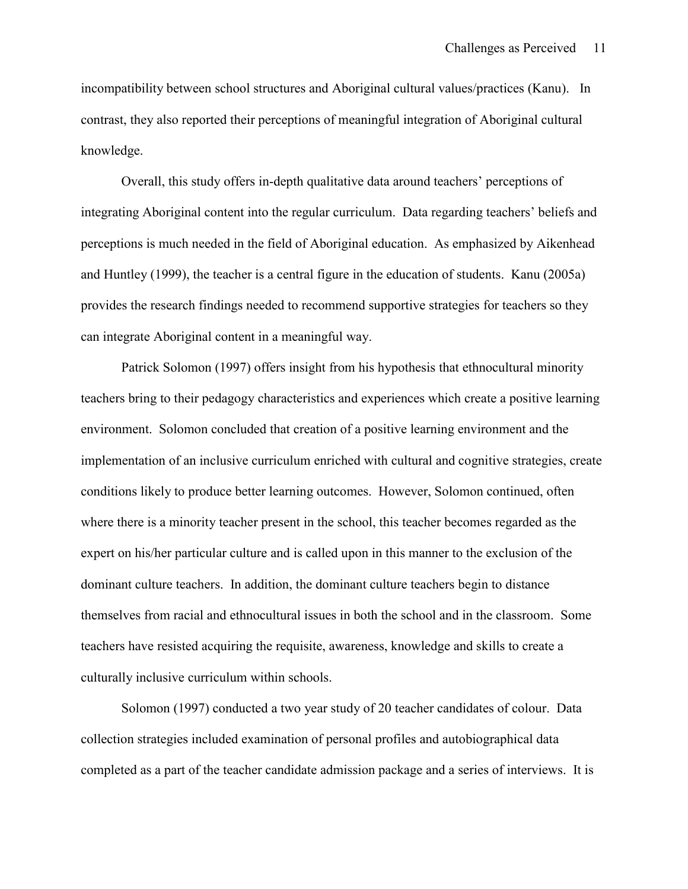incompatibility between school structures and Aboriginal cultural values/practices (Kanu). In contrast, they also reported their perceptions of meaningful integration of Aboriginal cultural knowledge.

Overall, this study offers in-depth qualitative data around teachers' perceptions of integrating Aboriginal content into the regular curriculum. Data regarding teachers' beliefs and perceptions is much needed in the field of Aboriginal education. As emphasized by Aikenhead and Huntley (1999), the teacher is a central figure in the education of students. Kanu (2005a) provides the research findings needed to recommend supportive strategies for teachers so they can integrate Aboriginal content in a meaningful way.

Patrick Solomon (1997) offers insight from his hypothesis that ethnocultural minority teachers bring to their pedagogy characteristics and experiences which create a positive learning environment. Solomon concluded that creation of a positive learning environment and the implementation of an inclusive curriculum enriched with cultural and cognitive strategies, create conditions likely to produce better learning outcomes. However, Solomon continued, often where there is a minority teacher present in the school, this teacher becomes regarded as the expert on his/her particular culture and is called upon in this manner to the exclusion of the dominant culture teachers. In addition, the dominant culture teachers begin to distance themselves from racial and ethnocultural issues in both the school and in the classroom. Some teachers have resisted acquiring the requisite, awareness, knowledge and skills to create a culturally inclusive curriculum within schools.

Solomon (1997) conducted a two year study of 20 teacher candidates of colour. Data collection strategies included examination of personal profiles and autobiographical data completed as a part of the teacher candidate admission package and a series of interviews. It is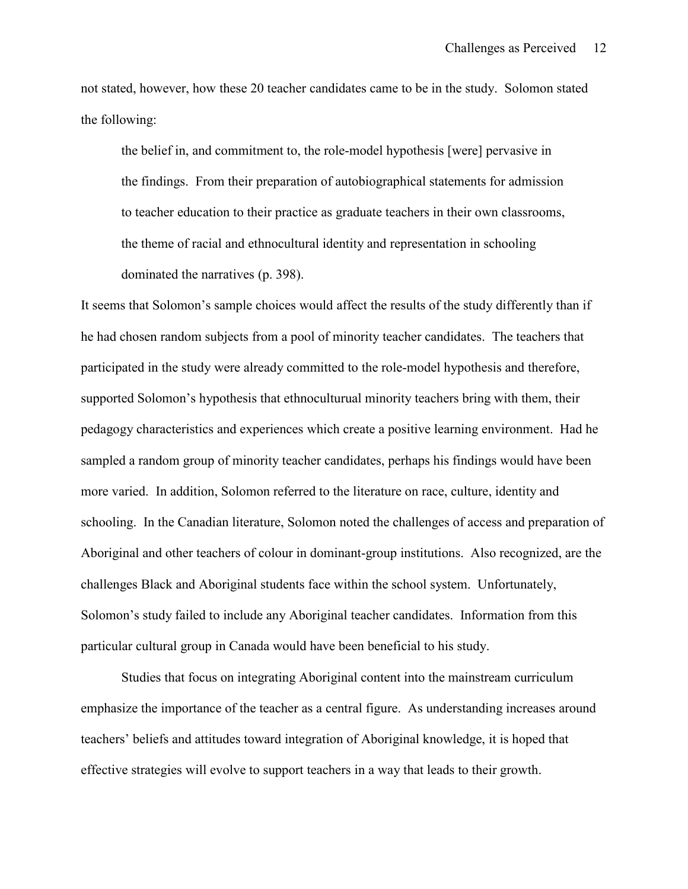not stated, however, how these 20 teacher candidates came to be in the study. Solomon stated the following:

the belief in, and commitment to, the role-model hypothesis [were] pervasive in the findings. From their preparation of autobiographical statements for admission to teacher education to their practice as graduate teachers in their own classrooms, the theme of racial and ethnocultural identity and representation in schooling dominated the narratives (p. 398).

It seems that Solomon's sample choices would affect the results of the study differently than if he had chosen random subjects from a pool of minority teacher candidates. The teachers that participated in the study were already committed to the role-model hypothesis and therefore, supported Solomon's hypothesis that ethnoculturual minority teachers bring with them, their pedagogy characteristics and experiences which create a positive learning environment. Had he sampled a random group of minority teacher candidates, perhaps his findings would have been more varied. In addition, Solomon referred to the literature on race, culture, identity and schooling. In the Canadian literature, Solomon noted the challenges of access and preparation of Aboriginal and other teachers of colour in dominant-group institutions. Also recognized, are the challenges Black and Aboriginal students face within the school system. Unfortunately, Solomon's study failed to include any Aboriginal teacher candidates. Information from this particular cultural group in Canada would have been beneficial to his study.

Studies that focus on integrating Aboriginal content into the mainstream curriculum emphasize the importance of the teacher as a central figure. As understanding increases around teachers' beliefs and attitudes toward integration of Aboriginal knowledge, it is hoped that effective strategies will evolve to support teachers in a way that leads to their growth.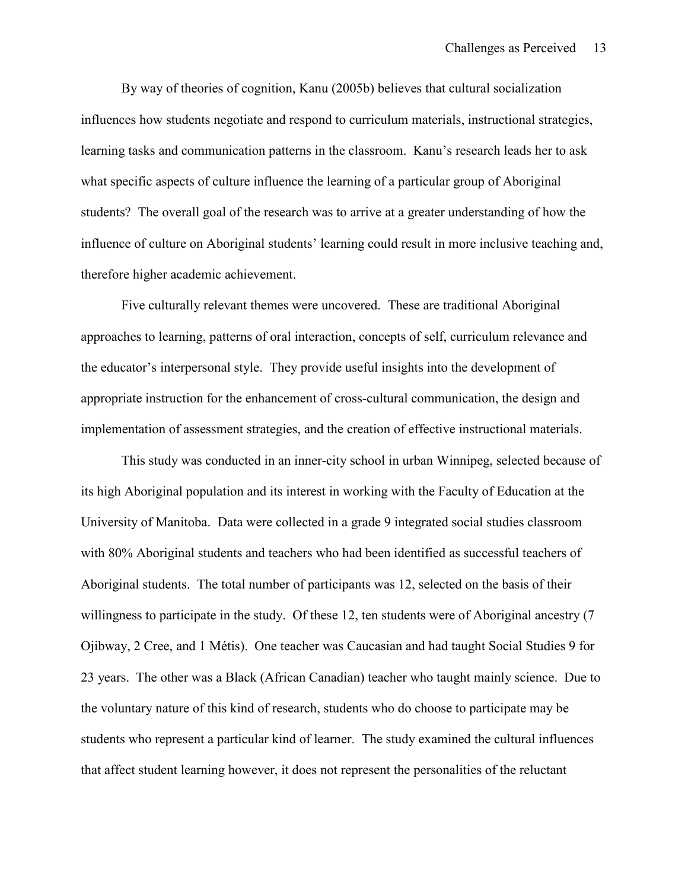By way of theories of cognition, Kanu (2005b) believes that cultural socialization influences how students negotiate and respond to curriculum materials, instructional strategies, learning tasks and communication patterns in the classroom. Kanu's research leads her to ask what specific aspects of culture influence the learning of a particular group of Aboriginal students? The overall goal of the research was to arrive at a greater understanding of how the influence of culture on Aboriginal students' learning could result in more inclusive teaching and, therefore higher academic achievement.

Five culturally relevant themes were uncovered. These are traditional Aboriginal approaches to learning, patterns of oral interaction, concepts of self, curriculum relevance and the educator's interpersonal style. They provide useful insights into the development of appropriate instruction for the enhancement of cross-cultural communication, the design and implementation of assessment strategies, and the creation of effective instructional materials.

This study was conducted in an inner-city school in urban Winnipeg, selected because of its high Aboriginal population and its interest in working with the Faculty of Education at the University of Manitoba. Data were collected in a grade 9 integrated social studies classroom with 80% Aboriginal students and teachers who had been identified as successful teachers of Aboriginal students. The total number of participants was 12, selected on the basis of their willingness to participate in the study. Of these 12, ten students were of Aboriginal ancestry (7 Ojibway, 2 Cree, and 1 Métis). One teacher was Caucasian and had taught Social Studies 9 for 23 years. The other was a Black (African Canadian) teacher who taught mainly science. Due to the voluntary nature of this kind of research, students who do choose to participate may be students who represent a particular kind of learner. The study examined the cultural influences that affect student learning however, it does not represent the personalities of the reluctant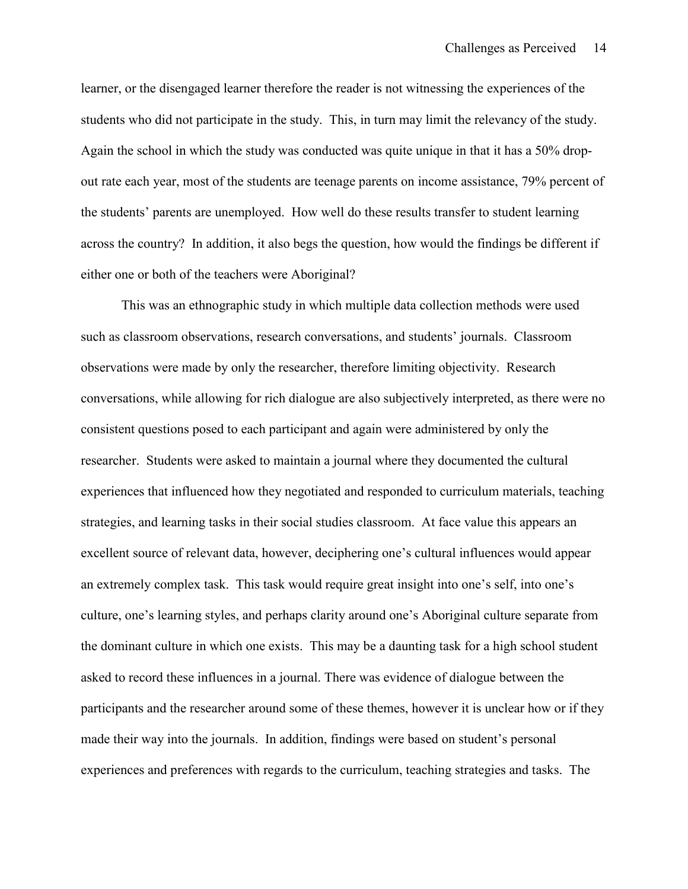learner, or the disengaged learner therefore the reader is not witnessing the experiences of the students who did not participate in the study. This, in turn may limit the relevancy of the study. Again the school in which the study was conducted was quite unique in that it has a 50% dropout rate each year, most of the students are teenage parents on income assistance, 79% percent of the students' parents are unemployed. How well do these results transfer to student learning across the country? In addition, it also begs the question, how would the findings be different if either one or both of the teachers were Aboriginal?

This was an ethnographic study in which multiple data collection methods were used such as classroom observations, research conversations, and students' journals. Classroom observations were made by only the researcher, therefore limiting objectivity. Research conversations, while allowing for rich dialogue are also subjectively interpreted, as there were no consistent questions posed to each participant and again were administered by only the researcher. Students were asked to maintain a journal where they documented the cultural experiences that influenced how they negotiated and responded to curriculum materials, teaching strategies, and learning tasks in their social studies classroom. At face value this appears an excellent source of relevant data, however, deciphering one's cultural influences would appear an extremely complex task. This task would require great insight into one's self, into one's culture, one's learning styles, and perhaps clarity around one's Aboriginal culture separate from the dominant culture in which one exists. This may be a daunting task for a high school student asked to record these influences in a journal. There was evidence of dialogue between the participants and the researcher around some of these themes, however it is unclear how or if they made their way into the journals. In addition, findings were based on student's personal experiences and preferences with regards to the curriculum, teaching strategies and tasks. The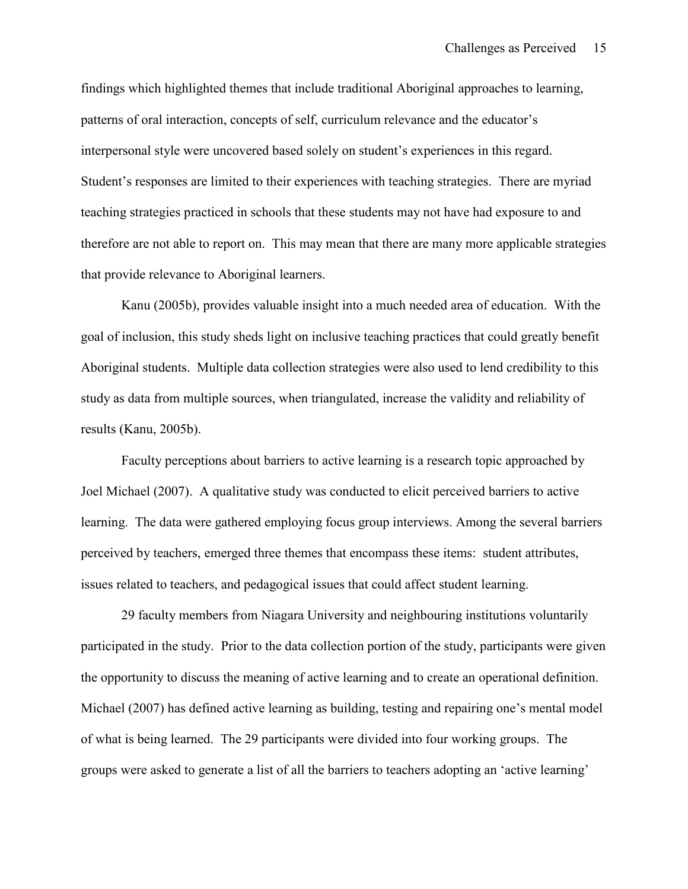findings which highlighted themes that include traditional Aboriginal approaches to learning, patterns of oral interaction, concepts of self, curriculum relevance and the educator's interpersonal style were uncovered based solely on student's experiences in this regard. Student's responses are limited to their experiences with teaching strategies. There are myriad teaching strategies practiced in schools that these students may not have had exposure to and therefore are not able to report on. This may mean that there are many more applicable strategies that provide relevance to Aboriginal learners.

Kanu (2005b), provides valuable insight into a much needed area of education. With the goal of inclusion, this study sheds light on inclusive teaching practices that could greatly benefit Aboriginal students. Multiple data collection strategies were also used to lend credibility to this study as data from multiple sources, when triangulated, increase the validity and reliability of results (Kanu, 2005b).

Faculty perceptions about barriers to active learning is a research topic approached by Joel Michael (2007). A qualitative study was conducted to elicit perceived barriers to active learning. The data were gathered employing focus group interviews. Among the several barriers perceived by teachers, emerged three themes that encompass these items: student attributes, issues related to teachers, and pedagogical issues that could affect student learning.

29 faculty members from Niagara University and neighbouring institutions voluntarily participated in the study. Prior to the data collection portion of the study, participants were given the opportunity to discuss the meaning of active learning and to create an operational definition. Michael (2007) has defined active learning as building, testing and repairing one's mental model of what is being learned. The 29 participants were divided into four working groups. The groups were asked to generate a list of all the barriers to teachers adopting an 'active learning'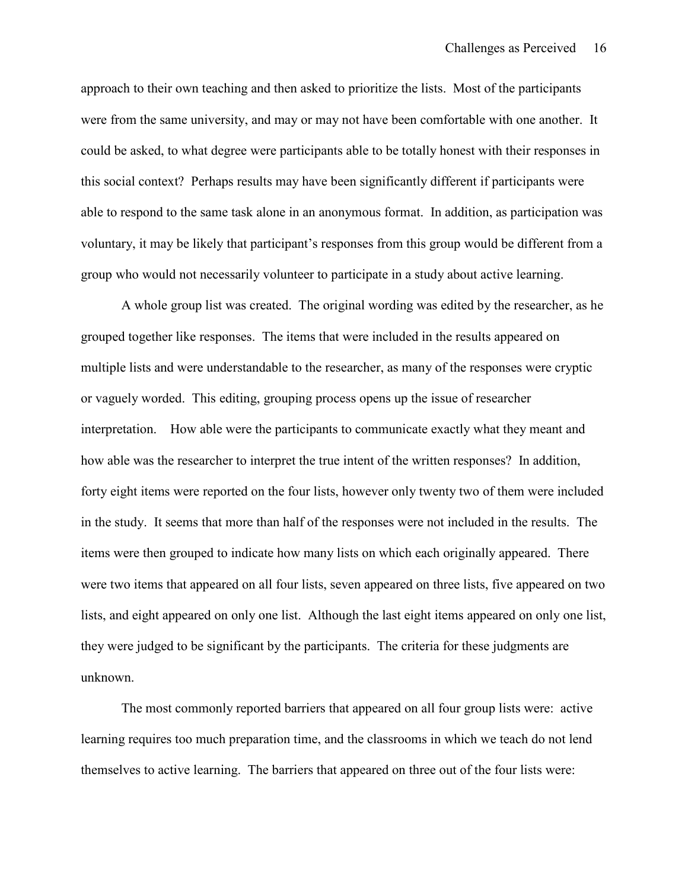approach to their own teaching and then asked to prioritize the lists. Most of the participants were from the same university, and may or may not have been comfortable with one another. It could be asked, to what degree were participants able to be totally honest with their responses in this social context? Perhaps results may have been significantly different if participants were able to respond to the same task alone in an anonymous format. In addition, as participation was voluntary, it may be likely that participant's responses from this group would be different from a group who would not necessarily volunteer to participate in a study about active learning.

A whole group list was created. The original wording was edited by the researcher, as he grouped together like responses. The items that were included in the results appeared on multiple lists and were understandable to the researcher, as many of the responses were cryptic or vaguely worded. This editing, grouping process opens up the issue of researcher interpretation. How able were the participants to communicate exactly what they meant and how able was the researcher to interpret the true intent of the written responses? In addition, forty eight items were reported on the four lists, however only twenty two of them were included in the study. It seems that more than half of the responses were not included in the results. The items were then grouped to indicate how many lists on which each originally appeared. There were two items that appeared on all four lists, seven appeared on three lists, five appeared on two lists, and eight appeared on only one list. Although the last eight items appeared on only one list, they were judged to be significant by the participants. The criteria for these judgments are unknown.

The most commonly reported barriers that appeared on all four group lists were: active learning requires too much preparation time, and the classrooms in which we teach do not lend themselves to active learning. The barriers that appeared on three out of the four lists were: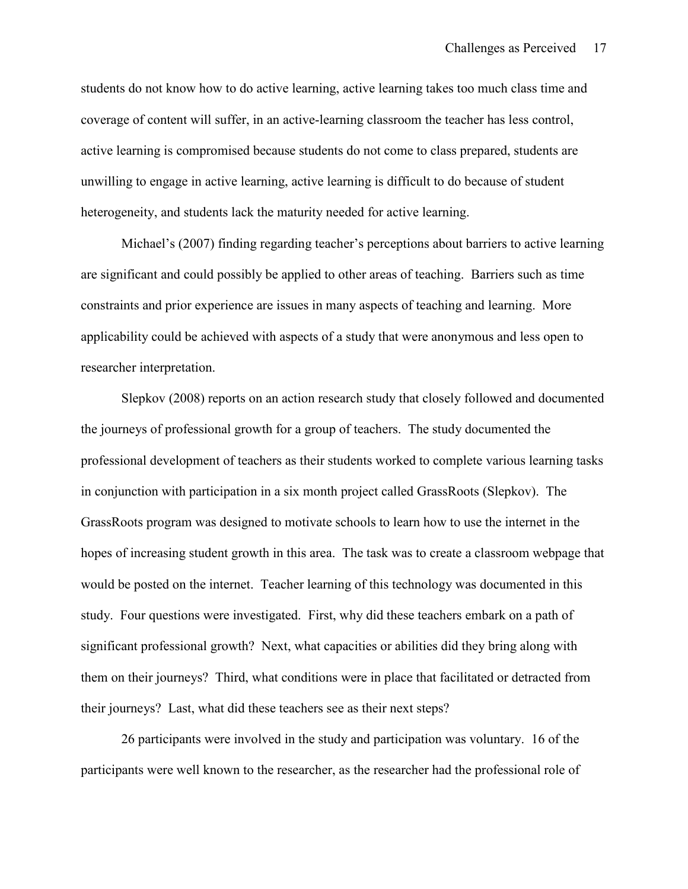students do not know how to do active learning, active learning takes too much class time and coverage of content will suffer, in an active-learning classroom the teacher has less control, active learning is compromised because students do not come to class prepared, students are unwilling to engage in active learning, active learning is difficult to do because of student heterogeneity, and students lack the maturity needed for active learning.

Michael's (2007) finding regarding teacher's perceptions about barriers to active learning are significant and could possibly be applied to other areas of teaching. Barriers such as time constraints and prior experience are issues in many aspects of teaching and learning. More applicability could be achieved with aspects of a study that were anonymous and less open to researcher interpretation.

Slepkov (2008) reports on an action research study that closely followed and documented the journeys of professional growth for a group of teachers. The study documented the professional development of teachers as their students worked to complete various learning tasks in conjunction with participation in a six month project called GrassRoots (Slepkov). The GrassRoots program was designed to motivate schools to learn how to use the internet in the hopes of increasing student growth in this area. The task was to create a classroom webpage that would be posted on the internet. Teacher learning of this technology was documented in this study. Four questions were investigated. First, why did these teachers embark on a path of significant professional growth? Next, what capacities or abilities did they bring along with them on their journeys? Third, what conditions were in place that facilitated or detracted from their journeys? Last, what did these teachers see as their next steps?

26 participants were involved in the study and participation was voluntary. 16 of the participants were well known to the researcher, as the researcher had the professional role of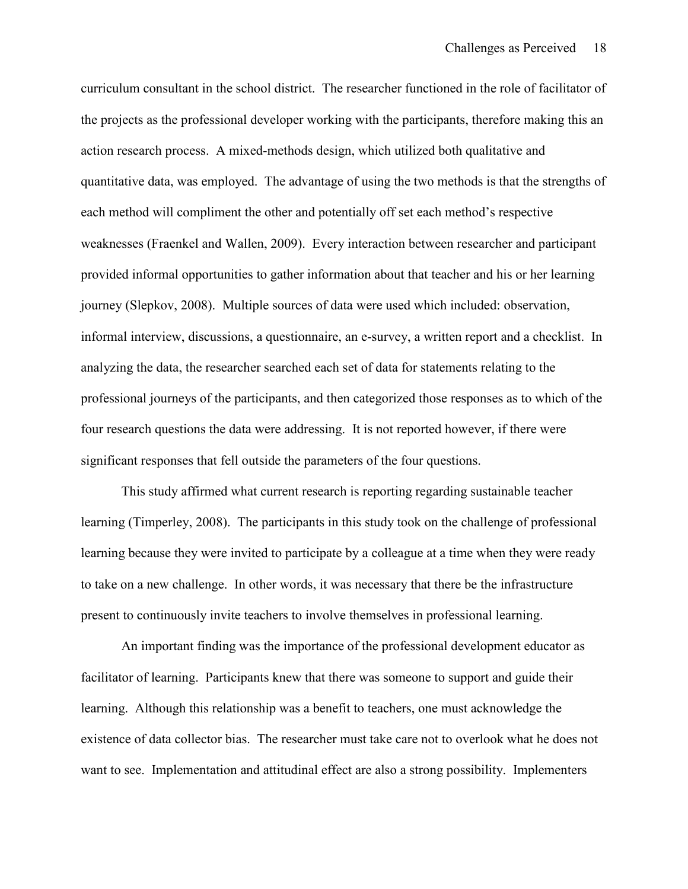curriculum consultant in the school district. The researcher functioned in the role of facilitator of the projects as the professional developer working with the participants, therefore making this an action research process. A mixed-methods design, which utilized both qualitative and quantitative data, was employed. The advantage of using the two methods is that the strengths of each method will compliment the other and potentially off set each method's respective weaknesses (Fraenkel and Wallen, 2009). Every interaction between researcher and participant provided informal opportunities to gather information about that teacher and his or her learning journey (Slepkov, 2008). Multiple sources of data were used which included: observation, informal interview, discussions, a questionnaire, an e-survey, a written report and a checklist. In analyzing the data, the researcher searched each set of data for statements relating to the professional journeys of the participants, and then categorized those responses as to which of the four research questions the data were addressing. It is not reported however, if there were significant responses that fell outside the parameters of the four questions.

This study affirmed what current research is reporting regarding sustainable teacher learning (Timperley, 2008). The participants in this study took on the challenge of professional learning because they were invited to participate by a colleague at a time when they were ready to take on a new challenge. In other words, it was necessary that there be the infrastructure present to continuously invite teachers to involve themselves in professional learning.

An important finding was the importance of the professional development educator as facilitator of learning. Participants knew that there was someone to support and guide their learning. Although this relationship was a benefit to teachers, one must acknowledge the existence of data collector bias. The researcher must take care not to overlook what he does not want to see. Implementation and attitudinal effect are also a strong possibility. Implementers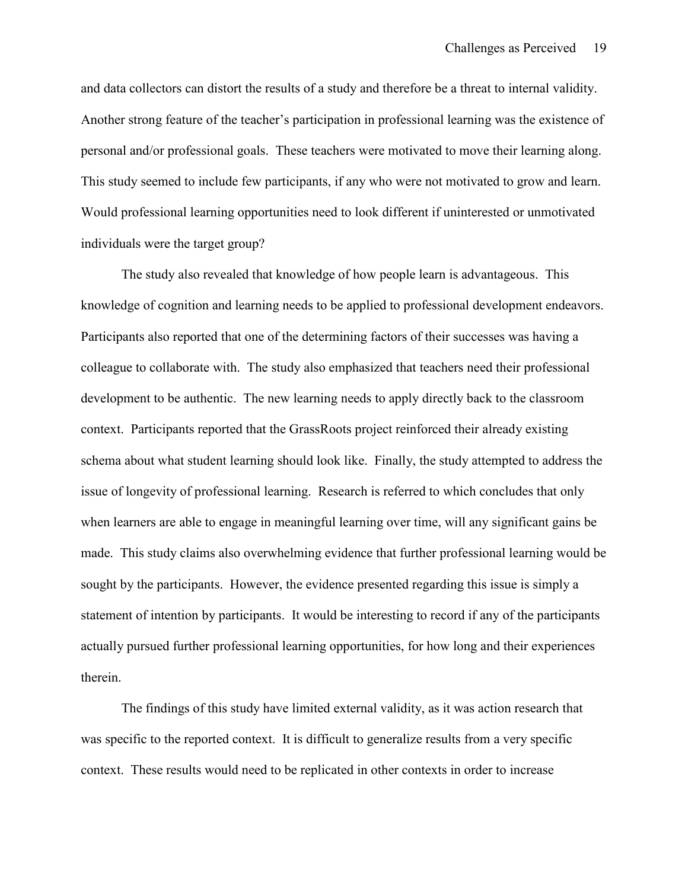and data collectors can distort the results of a study and therefore be a threat to internal validity. Another strong feature of the teacher's participation in professional learning was the existence of personal and/or professional goals. These teachers were motivated to move their learning along. This study seemed to include few participants, if any who were not motivated to grow and learn. Would professional learning opportunities need to look different if uninterested or unmotivated individuals were the target group?

The study also revealed that knowledge of how people learn is advantageous. This knowledge of cognition and learning needs to be applied to professional development endeavors. Participants also reported that one of the determining factors of their successes was having a colleague to collaborate with. The study also emphasized that teachers need their professional development to be authentic. The new learning needs to apply directly back to the classroom context. Participants reported that the GrassRoots project reinforced their already existing schema about what student learning should look like. Finally, the study attempted to address the issue of longevity of professional learning. Research is referred to which concludes that only when learners are able to engage in meaningful learning over time, will any significant gains be made. This study claims also overwhelming evidence that further professional learning would be sought by the participants. However, the evidence presented regarding this issue is simply a statement of intention by participants. It would be interesting to record if any of the participants actually pursued further professional learning opportunities, for how long and their experiences therein.

The findings of this study have limited external validity, as it was action research that was specific to the reported context. It is difficult to generalize results from a very specific context. These results would need to be replicated in other contexts in order to increase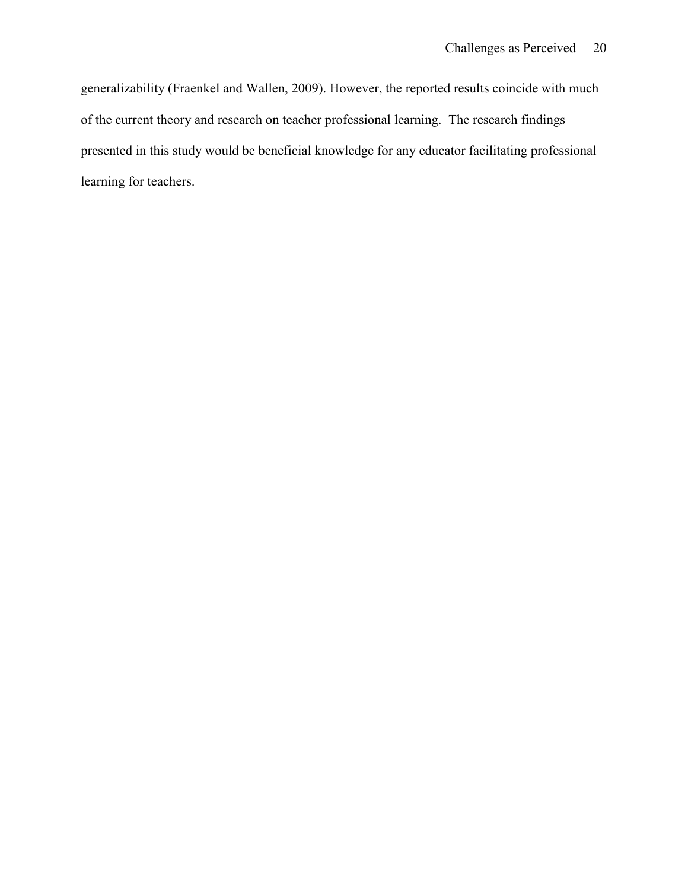generalizability (Fraenkel and Wallen, 2009). However, the reported results coincide with much of the current theory and research on teacher professional learning. The research findings presented in this study would be beneficial knowledge for any educator facilitating professional learning for teachers.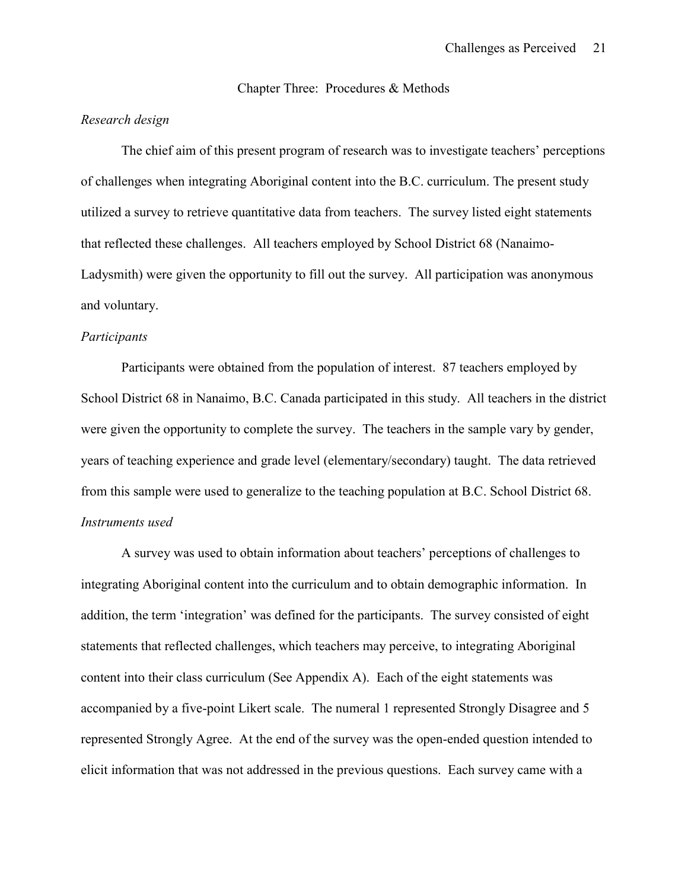Chapter Three: Procedures & Methods

#### *Research design*

The chief aim of this present program of research was to investigate teachers' perceptions of challenges when integrating Aboriginal content into the B.C. curriculum. The present study utilized a survey to retrieve quantitative data from teachers. The survey listed eight statements that reflected these challenges. All teachers employed by School District 68 (Nanaimo-Ladysmith) were given the opportunity to fill out the survey. All participation was anonymous and voluntary.

### *Participants*

Participants were obtained from the population of interest. 87 teachers employed by School District 68 in Nanaimo, B.C. Canada participated in this study. All teachers in the district were given the opportunity to complete the survey. The teachers in the sample vary by gender, years of teaching experience and grade level (elementary/secondary) taught. The data retrieved from this sample were used to generalize to the teaching population at B.C. School District 68. *Instruments used*

A survey was used to obtain information about teachers' perceptions of challenges to integrating Aboriginal content into the curriculum and to obtain demographic information. In addition, the term 'integration' was defined for the participants. The survey consisted of eight statements that reflected challenges, which teachers may perceive, to integrating Aboriginal content into their class curriculum (See Appendix A). Each of the eight statements was accompanied by a five-point Likert scale. The numeral 1 represented Strongly Disagree and 5 represented Strongly Agree. At the end of the survey was the open-ended question intended to elicit information that was not addressed in the previous questions. Each survey came with a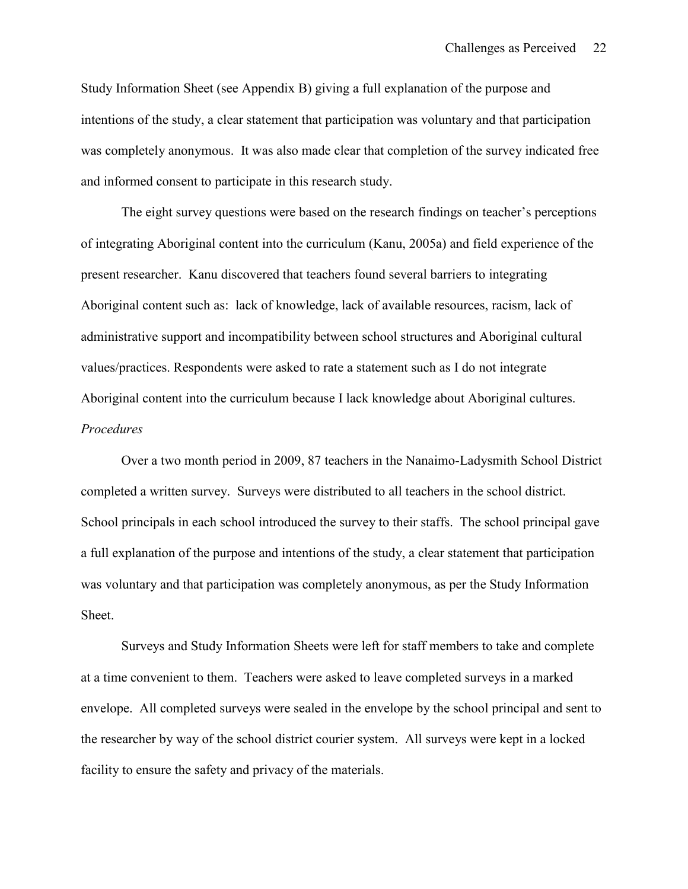Study Information Sheet (see Appendix B) giving a full explanation of the purpose and intentions of the study, a clear statement that participation was voluntary and that participation was completely anonymous. It was also made clear that completion of the survey indicated free and informed consent to participate in this research study.

The eight survey questions were based on the research findings on teacher's perceptions of integrating Aboriginal content into the curriculum (Kanu, 2005a) and field experience of the present researcher. Kanu discovered that teachers found several barriers to integrating Aboriginal content such as: lack of knowledge, lack of available resources, racism, lack of administrative support and incompatibility between school structures and Aboriginal cultural values/practices. Respondents were asked to rate a statement such as I do not integrate Aboriginal content into the curriculum because I lack knowledge about Aboriginal cultures. *Procedures*

Over a two month period in 2009, 87 teachers in the Nanaimo-Ladysmith School District completed a written survey. Surveys were distributed to all teachers in the school district. School principals in each school introduced the survey to their staffs. The school principal gave a full explanation of the purpose and intentions of the study, a clear statement that participation was voluntary and that participation was completely anonymous, as per the Study Information Sheet.

Surveys and Study Information Sheets were left for staff members to take and complete at a time convenient to them. Teachers were asked to leave completed surveys in a marked envelope. All completed surveys were sealed in the envelope by the school principal and sent to the researcher by way of the school district courier system. All surveys were kept in a locked facility to ensure the safety and privacy of the materials.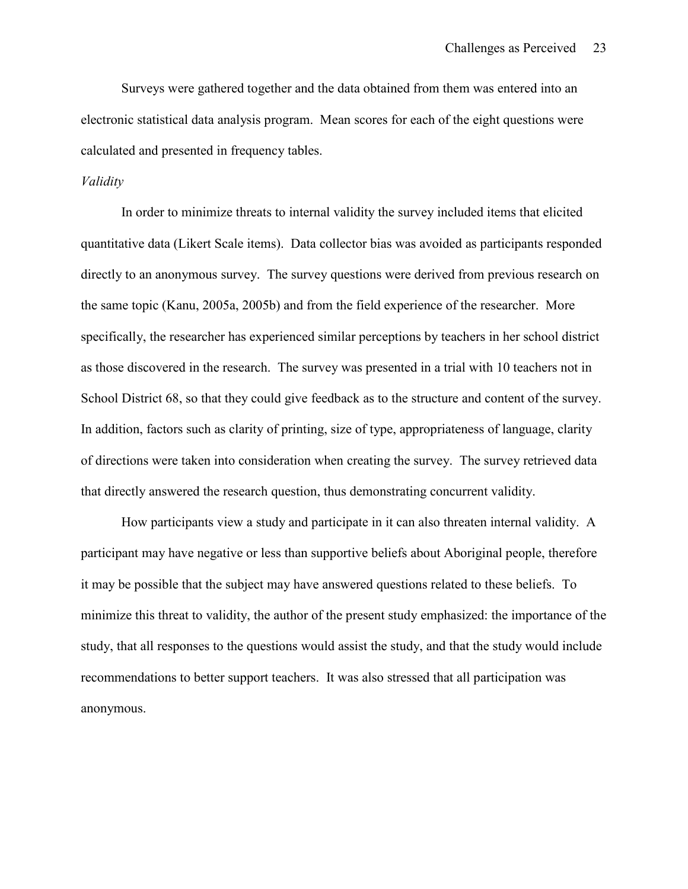Surveys were gathered together and the data obtained from them was entered into an electronic statistical data analysis program. Mean scores for each of the eight questions were calculated and presented in frequency tables.

#### *Validity*

In order to minimize threats to internal validity the survey included items that elicited quantitative data (Likert Scale items). Data collector bias was avoided as participants responded directly to an anonymous survey. The survey questions were derived from previous research on the same topic (Kanu, 2005a, 2005b) and from the field experience of the researcher. More specifically, the researcher has experienced similar perceptions by teachers in her school district as those discovered in the research. The survey was presented in a trial with 10 teachers not in School District 68, so that they could give feedback as to the structure and content of the survey. In addition, factors such as clarity of printing, size of type, appropriateness of language, clarity of directions were taken into consideration when creating the survey. The survey retrieved data that directly answered the research question, thus demonstrating concurrent validity.

How participants view a study and participate in it can also threaten internal validity. A participant may have negative or less than supportive beliefs about Aboriginal people, therefore it may be possible that the subject may have answered questions related to these beliefs. To minimize this threat to validity, the author of the present study emphasized: the importance of the study, that all responses to the questions would assist the study, and that the study would include recommendations to better support teachers. It was also stressed that all participation was anonymous.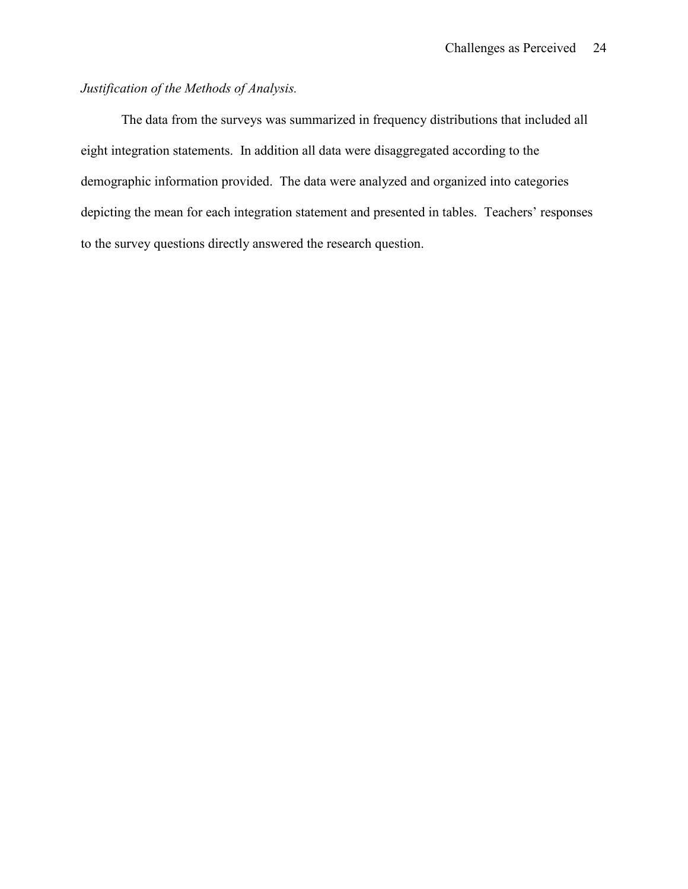## *Justification of the Methods of Analysis.*

The data from the surveys was summarized in frequency distributions that included all eight integration statements. In addition all data were disaggregated according to the demographic information provided. The data were analyzed and organized into categories depicting the mean for each integration statement and presented in tables. Teachers' responses to the survey questions directly answered the research question.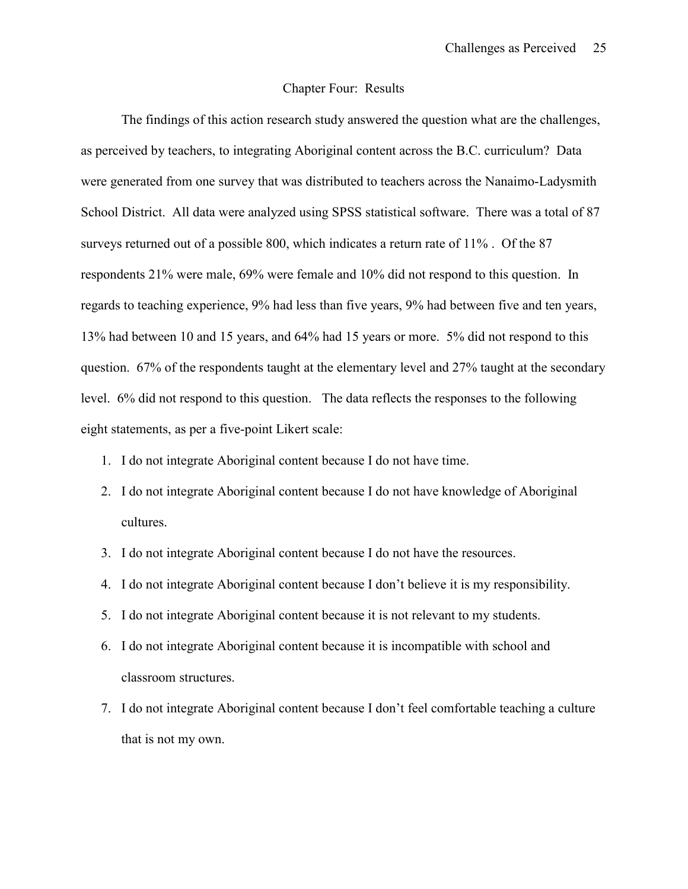#### Chapter Four: Results

The findings of this action research study answered the question what are the challenges, as perceived by teachers, to integrating Aboriginal content across the B.C. curriculum? Data were generated from one survey that was distributed to teachers across the Nanaimo-Ladysmith School District. All data were analyzed using SPSS statistical software. There was a total of 87 surveys returned out of a possible 800, which indicates a return rate of 11% . Of the 87 respondents 21% were male, 69% were female and 10% did not respond to this question. In regards to teaching experience, 9% had less than five years, 9% had between five and ten years, 13% had between 10 and 15 years, and 64% had 15 years or more. 5% did not respond to this question. 67% of the respondents taught at the elementary level and 27% taught at the secondary level. 6% did not respond to this question. The data reflects the responses to the following eight statements, as per a five-point Likert scale:

- 1. I do not integrate Aboriginal content because I do not have time.
- 2. I do not integrate Aboriginal content because I do not have knowledge of Aboriginal cultures.
- 3. I do not integrate Aboriginal content because I do not have the resources.
- 4. I do not integrate Aboriginal content because I don't believe it is my responsibility.
- 5. I do not integrate Aboriginal content because it is not relevant to my students.
- 6. I do not integrate Aboriginal content because it is incompatible with school and classroom structures.
- 7. I do not integrate Aboriginal content because I don't feel comfortable teaching a culture that is not my own.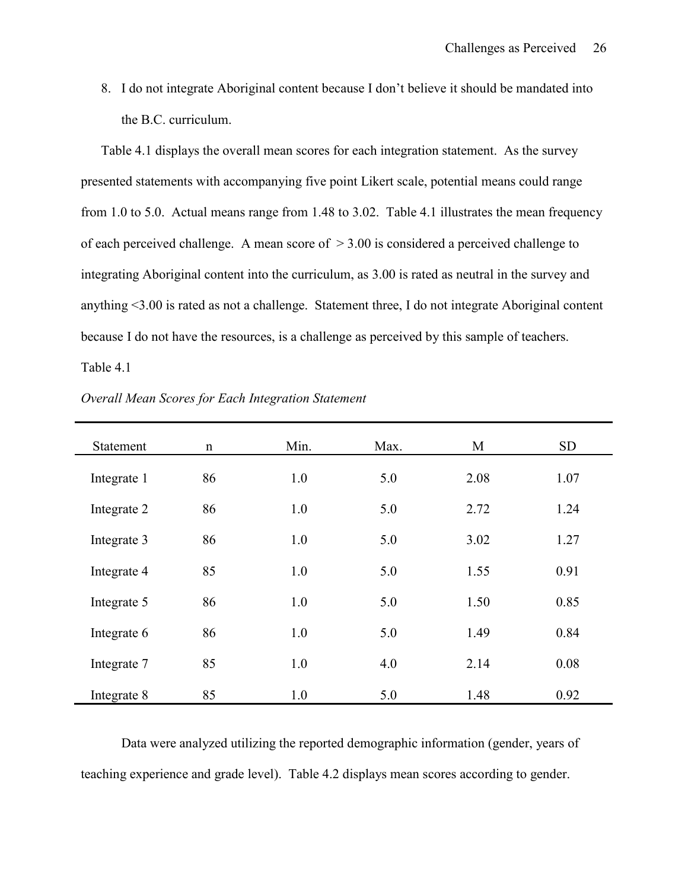8. I do not integrate Aboriginal content because I don't believe it should be mandated into the B.C. curriculum.

Table 4.1 displays the overall mean scores for each integration statement. As the survey presented statements with accompanying five point Likert scale, potential means could range from 1.0 to 5.0. Actual means range from 1.48 to 3.02. Table 4.1 illustrates the mean frequency of each perceived challenge. A mean score of  $> 3.00$  is considered a perceived challenge to integrating Aboriginal content into the curriculum, as 3.00 is rated as neutral in the survey and anything <3.00 is rated as not a challenge. Statement three, I do not integrate Aboriginal content because I do not have the resources, is a challenge as perceived by this sample of teachers.

Table 4.1

| Statement   | $\mathbf n$ | Min. | Max. | M    | <b>SD</b> |
|-------------|-------------|------|------|------|-----------|
| Integrate 1 | 86          | 1.0  | 5.0  | 2.08 | 1.07      |
| Integrate 2 | 86          | 1.0  | 5.0  | 2.72 | 1.24      |
| Integrate 3 | 86          | 1.0  | 5.0  | 3.02 | 1.27      |
| Integrate 4 | 85          | 1.0  | 5.0  | 1.55 | 0.91      |
| Integrate 5 | 86          | 1.0  | 5.0  | 1.50 | 0.85      |
| Integrate 6 | 86          | 1.0  | 5.0  | 1.49 | 0.84      |
| Integrate 7 | 85          | 1.0  | 4.0  | 2.14 | 0.08      |
| Integrate 8 | 85          | 1.0  | 5.0  | 1.48 | 0.92      |

*Overall Mean Scores for Each Integration Statement*

Data were analyzed utilizing the reported demographic information (gender, years of teaching experience and grade level). Table 4.2 displays mean scores according to gender.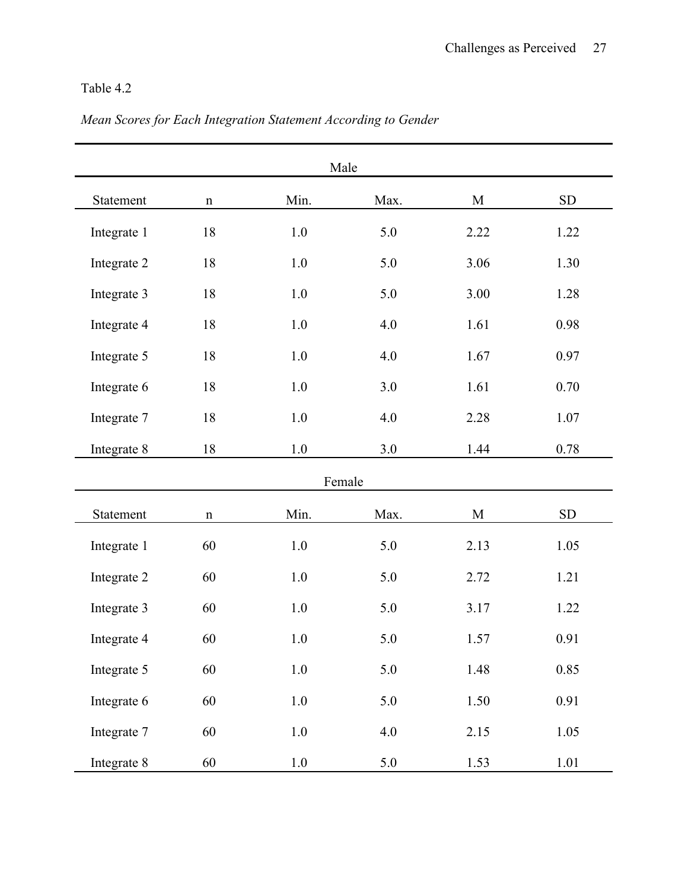# Table 4.2

|             |             |         | Male    |             |            |
|-------------|-------------|---------|---------|-------------|------------|
| Statement   | $\mathbf n$ | Min.    | Max.    | $\mathbf M$ | SD         |
| Integrate 1 | 18          | 1.0     | 5.0     | 2.22        | 1.22       |
| Integrate 2 | 18          | $1.0\,$ | 5.0     | 3.06        | 1.30       |
| Integrate 3 | 18          | 1.0     | 5.0     | 3.00        | 1.28       |
| Integrate 4 | $18\,$      | $1.0\,$ | 4.0     | 1.61        | 0.98       |
| Integrate 5 | $18\,$      | 1.0     | 4.0     | 1.67        | 0.97       |
| Integrate 6 | 18          | 1.0     | 3.0     | 1.61        | 0.70       |
| Integrate 7 | $18\,$      | $1.0\,$ | 4.0     | 2.28        | 1.07       |
| Integrate 8 | 18          | $1.0\,$ | 3.0     | 1.44        | 0.78       |
|             |             |         | Female  |             |            |
| Statement   | $\mathbf n$ | Min.    | Max.    | $\mathbf M$ | ${\rm SD}$ |
| Integrate 1 | 60          | 1.0     | 5.0     | 2.13        | 1.05       |
| Integrate 2 | 60          | 1.0     | 5.0     | 2.72        | 1.21       |
| Integrate 3 | 60          | 1.0     | 5.0     | 3.17        | 1.22       |
| Integrate 4 | 60          | 1.0     | 5.0     | 1.57        | 0.91       |
| Integrate 5 | 60          | 1.0     | 5.0     | 1.48        | 0.85       |
| Integrate 6 | 60          | $1.0\,$ | $5.0\,$ | 1.50        | 0.91       |
| Integrate 7 | 60          | $1.0\,$ | $4.0\,$ | 2.15        | 1.05       |
| Integrate 8 | 60          | $1.0\,$ | $5.0\,$ | 1.53        | $1.01\,$   |

# *Mean Scores for Each Integration Statement According to Gender*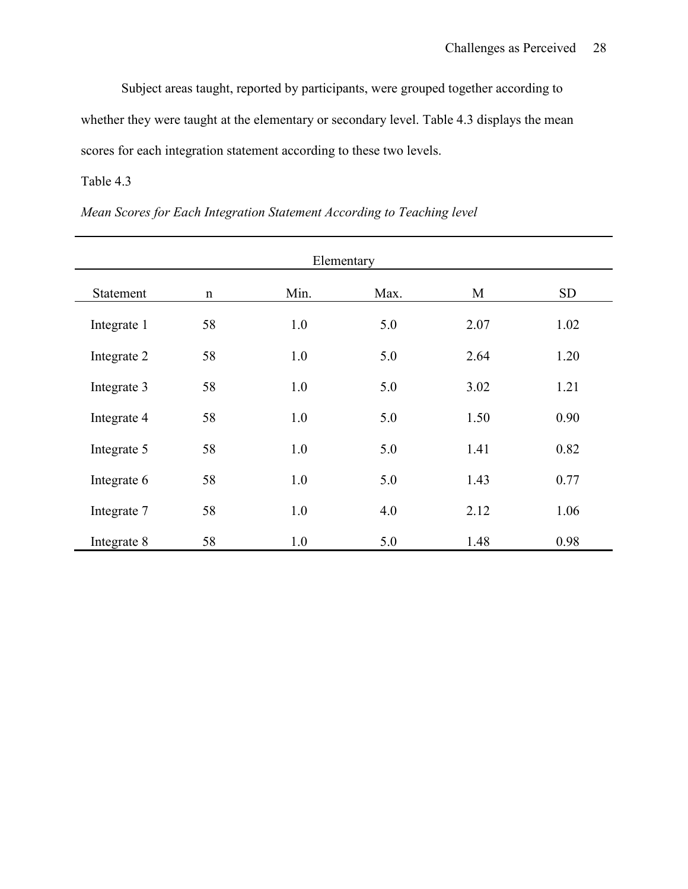Subject areas taught, reported by participants, were grouped together according to whether they were taught at the elementary or secondary level. Table 4.3 displays the mean scores for each integration statement according to these two levels.

## Table 4.3

|  |  | Mean Scores for Each Integration Statement According to Teaching level |  |
|--|--|------------------------------------------------------------------------|--|
|--|--|------------------------------------------------------------------------|--|

|             |             |      | Elementary |      |           |
|-------------|-------------|------|------------|------|-----------|
| Statement   | $\mathbf n$ | Min. | Max.       | M    | <b>SD</b> |
| Integrate 1 | 58          | 1.0  | 5.0        | 2.07 | 1.02      |
| Integrate 2 | 58          | 1.0  | 5.0        | 2.64 | 1.20      |
| Integrate 3 | 58          | 1.0  | 5.0        | 3.02 | 1.21      |
| Integrate 4 | 58          | 1.0  | 5.0        | 1.50 | 0.90      |
| Integrate 5 | 58          | 1.0  | 5.0        | 1.41 | 0.82      |
| Integrate 6 | 58          | 1.0  | 5.0        | 1.43 | 0.77      |
| Integrate 7 | 58          | 1.0  | 4.0        | 2.12 | 1.06      |
| Integrate 8 | 58          | 1.0  | 5.0        | 1.48 | 0.98      |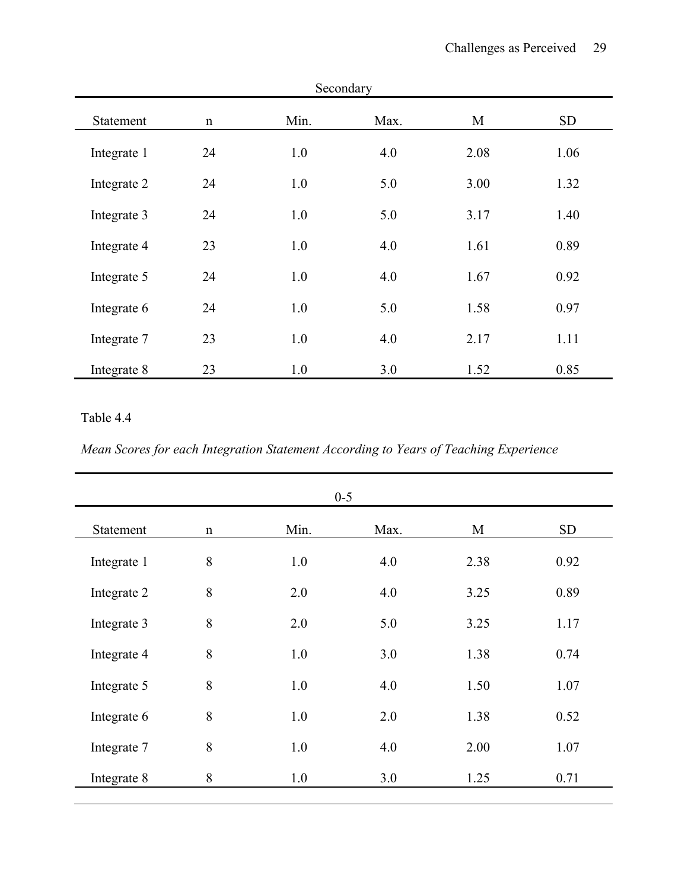|             |             |      | Secondary |      |           |
|-------------|-------------|------|-----------|------|-----------|
| Statement   | $\mathbf n$ | Min. | Max.      | M    | <b>SD</b> |
| Integrate 1 | 24          | 1.0  | 4.0       | 2.08 | 1.06      |
| Integrate 2 | 24          | 1.0  | 5.0       | 3.00 | 1.32      |
| Integrate 3 | 24          | 1.0  | 5.0       | 3.17 | 1.40      |
| Integrate 4 | 23          | 1.0  | 4.0       | 1.61 | 0.89      |
| Integrate 5 | 24          | 1.0  | 4.0       | 1.67 | 0.92      |
| Integrate 6 | 24          | 1.0  | 5.0       | 1.58 | 0.97      |
| Integrate 7 | 23          | 1.0  | 4.0       | 2.17 | 1.11      |
| Integrate 8 | 23          | 1.0  | 3.0       | 1.52 | 0.85      |

## Table 4.4

*Mean Scores for each Integration Statement According to Years of Teaching Experience*

|             |             |      | $0 - 5$ |      |      |
|-------------|-------------|------|---------|------|------|
| Statement   | $\mathbf n$ | Min. | Max.    | M    | SD   |
| Integrate 1 | 8           | 1.0  | 4.0     | 2.38 | 0.92 |
| Integrate 2 | 8           | 2.0  | 4.0     | 3.25 | 0.89 |
| Integrate 3 | 8           | 2.0  | 5.0     | 3.25 | 1.17 |
| Integrate 4 | 8           | 1.0  | 3.0     | 1.38 | 0.74 |
| Integrate 5 | 8           | 1.0  | 4.0     | 1.50 | 1.07 |
| Integrate 6 | 8           | 1.0  | 2.0     | 1.38 | 0.52 |
| Integrate 7 | 8           | 1.0  | 4.0     | 2.00 | 1.07 |
| Integrate 8 | 8           | 1.0  | 3.0     | 1.25 | 0.71 |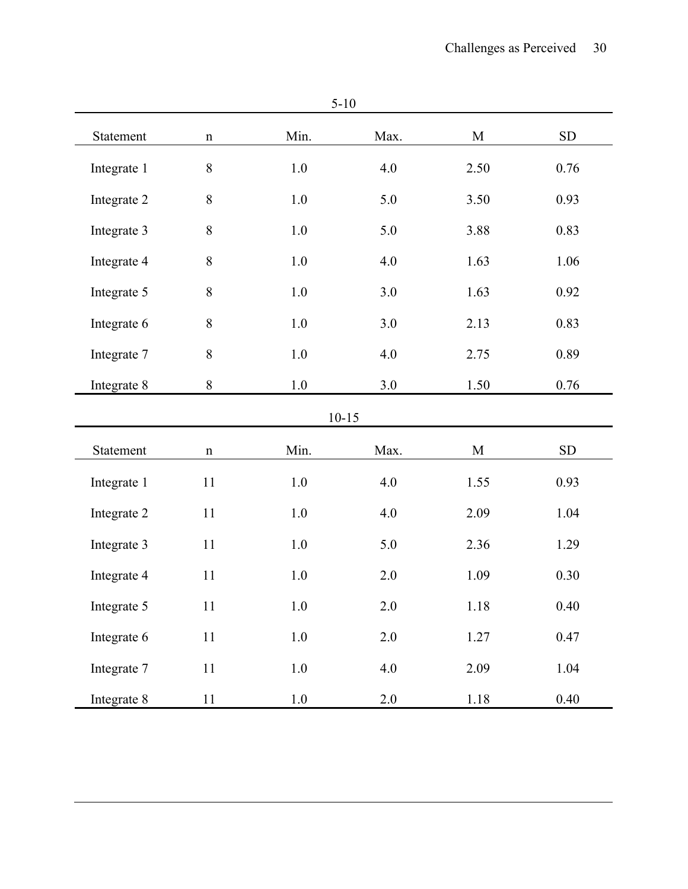| Statement   | $\mathbf n$ | Min.    | Max.      | $\mathbf M$ | ${\rm SD}$ |
|-------------|-------------|---------|-----------|-------------|------------|
| Integrate 1 | $\,$ $\,$   | 1.0     | 4.0       | 2.50        | 0.76       |
| Integrate 2 | 8           | 1.0     | 5.0       | 3.50        | 0.93       |
| Integrate 3 | $8\,$       | 1.0     | 5.0       | 3.88        | 0.83       |
| Integrate 4 | $8\,$       | 1.0     | 4.0       | 1.63        | 1.06       |
| Integrate 5 | $\,8\,$     | 1.0     | 3.0       | 1.63        | 0.92       |
| Integrate 6 | 8           | 1.0     | 3.0       | 2.13        | 0.83       |
| Integrate 7 | $8\,$       | 1.0     | 4.0       | 2.75        | 0.89       |
| Integrate 8 | $8\,$       | 1.0     | 3.0       | 1.50        | 0.76       |
|             |             |         | $10 - 15$ |             |            |
| Statement   | $\mathbf n$ | Min.    | Max.      | $\mathbf M$ | SD         |
| Integrate 1 | 11          | 1.0     | 4.0       | 1.55        | 0.93       |
| Integrate 2 | 11          | 1.0     | 4.0       | 2.09        | 1.04       |
| Integrate 3 | 11          | 1.0     | 5.0       | 2.36        | 1.29       |
| Integrate 4 | 11          | 1.0     | 2.0       | 1.09        | 0.30       |
| Integrate 5 | 11          | 1.0     | 2.0       | 1.18        | 0.40       |
| Integrate 6 | 11          | $1.0\,$ | $2.0\,$   | 1.27        | 0.47       |
| Integrate 7 | $11\,$      | 1.0     | 4.0       | 2.09        | 1.04       |
| Integrate 8 | 11          | $1.0\,$ | 2.0       | $1.18\,$    | 0.40       |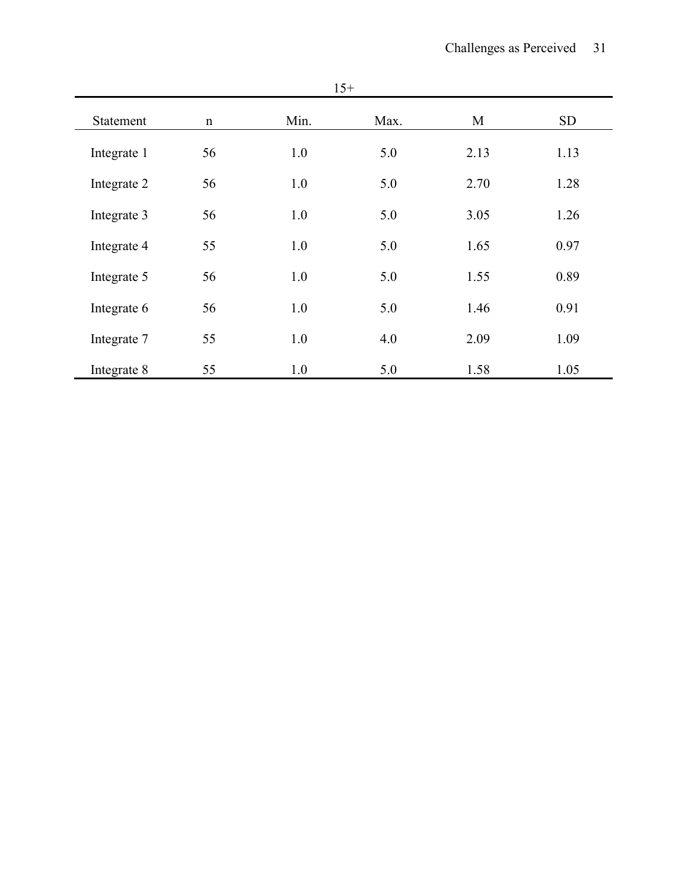| ۰.<br>v<br>× |
|--------------|
|--------------|

| Statement   | $\mathbf n$ | Min. | Max. | M    | <b>SD</b> |
|-------------|-------------|------|------|------|-----------|
| Integrate 1 | 56          | 1.0  | 5.0  | 2.13 | 1.13      |
| Integrate 2 | 56          | 1.0  | 5.0  | 2.70 | 1.28      |
| Integrate 3 | 56          | 1.0  | 5.0  | 3.05 | 1.26      |
| Integrate 4 | 55          | 1.0  | 5.0  | 1.65 | 0.97      |
| Integrate 5 | 56          | 1.0  | 5.0  | 1.55 | 0.89      |
| Integrate 6 | 56          | 1.0  | 5.0  | 1.46 | 0.91      |
| Integrate 7 | 55          | 1.0  | 4.0  | 2.09 | 1.09      |
| Integrate 8 | 55          | 1.0  | 5.0  | 1.58 | 1.05      |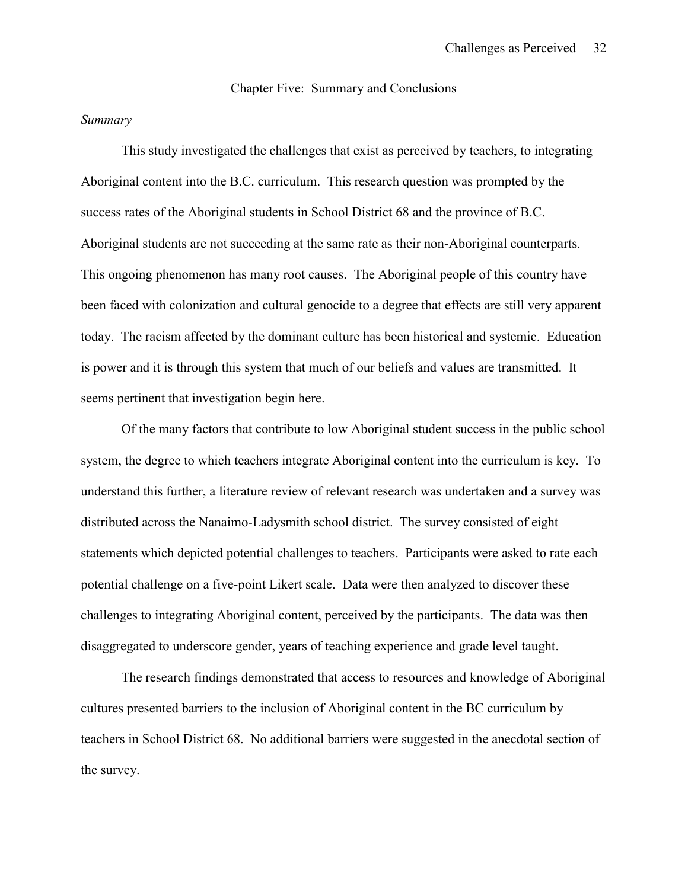Chapter Five: Summary and Conclusions

#### *Summary*

This study investigated the challenges that exist as perceived by teachers, to integrating Aboriginal content into the B.C. curriculum. This research question was prompted by the success rates of the Aboriginal students in School District 68 and the province of B.C. Aboriginal students are not succeeding at the same rate as their non-Aboriginal counterparts. This ongoing phenomenon has many root causes. The Aboriginal people of this country have been faced with colonization and cultural genocide to a degree that effects are still very apparent today. The racism affected by the dominant culture has been historical and systemic. Education is power and it is through this system that much of our beliefs and values are transmitted. It seems pertinent that investigation begin here.

Of the many factors that contribute to low Aboriginal student success in the public school system, the degree to which teachers integrate Aboriginal content into the curriculum is key. To understand this further, a literature review of relevant research was undertaken and a survey was distributed across the Nanaimo-Ladysmith school district. The survey consisted of eight statements which depicted potential challenges to teachers. Participants were asked to rate each potential challenge on a five-point Likert scale. Data were then analyzed to discover these challenges to integrating Aboriginal content, perceived by the participants. The data was then disaggregated to underscore gender, years of teaching experience and grade level taught.

The research findings demonstrated that access to resources and knowledge of Aboriginal cultures presented barriers to the inclusion of Aboriginal content in the BC curriculum by teachers in School District 68. No additional barriers were suggested in the anecdotal section of the survey.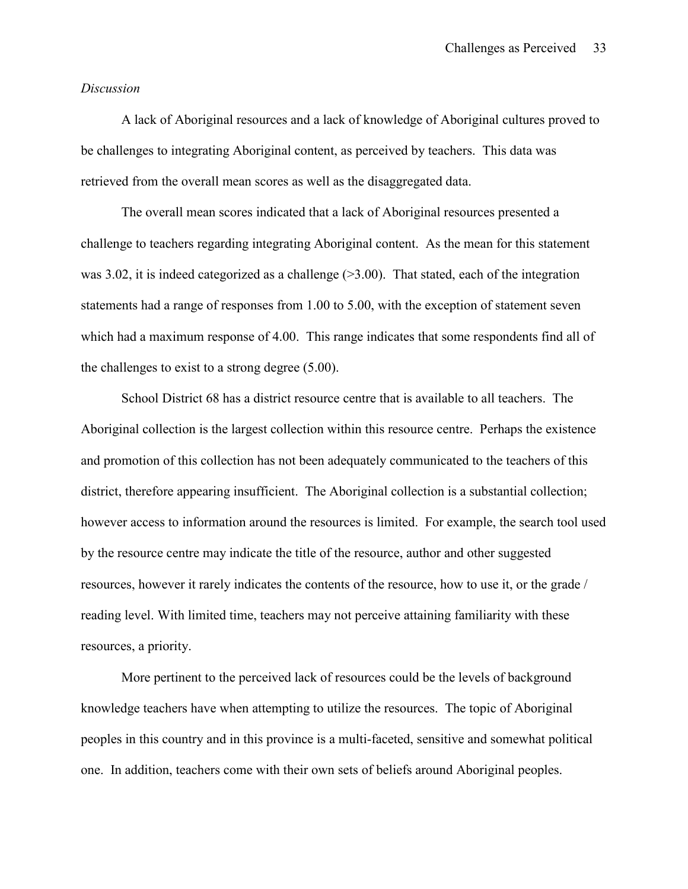#### *Discussion*

A lack of Aboriginal resources and a lack of knowledge of Aboriginal cultures proved to be challenges to integrating Aboriginal content, as perceived by teachers. This data was retrieved from the overall mean scores as well as the disaggregated data.

The overall mean scores indicated that a lack of Aboriginal resources presented a challenge to teachers regarding integrating Aboriginal content. As the mean for this statement was 3.02, it is indeed categorized as a challenge  $(>3.00)$ . That stated, each of the integration statements had a range of responses from 1.00 to 5.00, with the exception of statement seven which had a maximum response of 4.00. This range indicates that some respondents find all of the challenges to exist to a strong degree (5.00).

School District 68 has a district resource centre that is available to all teachers. The Aboriginal collection is the largest collection within this resource centre. Perhaps the existence and promotion of this collection has not been adequately communicated to the teachers of this district, therefore appearing insufficient. The Aboriginal collection is a substantial collection; however access to information around the resources is limited. For example, the search tool used by the resource centre may indicate the title of the resource, author and other suggested resources, however it rarely indicates the contents of the resource, how to use it, or the grade / reading level. With limited time, teachers may not perceive attaining familiarity with these resources, a priority.

More pertinent to the perceived lack of resources could be the levels of background knowledge teachers have when attempting to utilize the resources. The topic of Aboriginal peoples in this country and in this province is a multi-faceted, sensitive and somewhat political one. In addition, teachers come with their own sets of beliefs around Aboriginal peoples.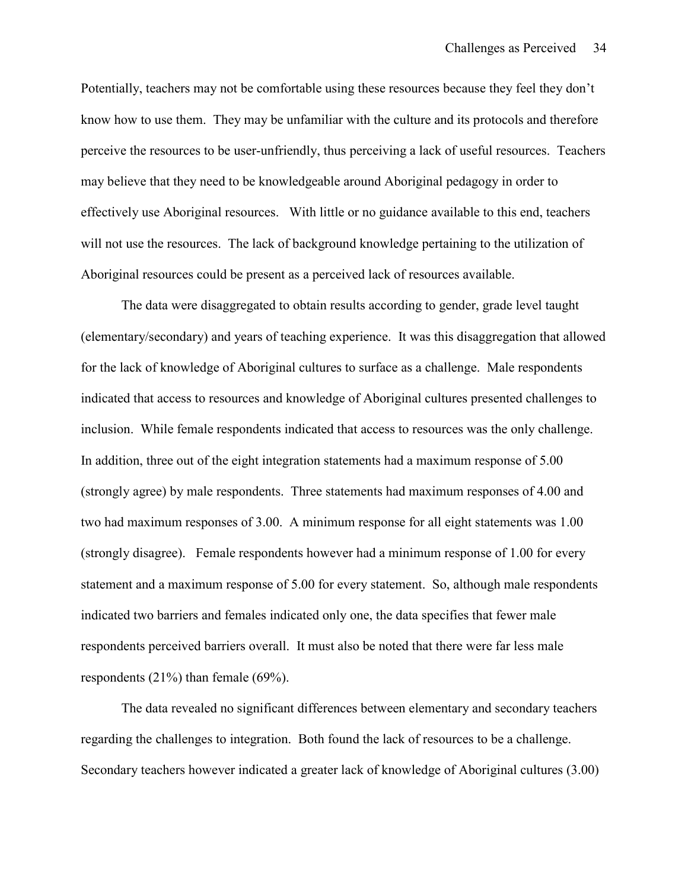Potentially, teachers may not be comfortable using these resources because they feel they don't know how to use them. They may be unfamiliar with the culture and its protocols and therefore perceive the resources to be user-unfriendly, thus perceiving a lack of useful resources. Teachers may believe that they need to be knowledgeable around Aboriginal pedagogy in order to effectively use Aboriginal resources. With little or no guidance available to this end, teachers will not use the resources. The lack of background knowledge pertaining to the utilization of Aboriginal resources could be present as a perceived lack of resources available.

The data were disaggregated to obtain results according to gender, grade level taught (elementary/secondary) and years of teaching experience. It was this disaggregation that allowed for the lack of knowledge of Aboriginal cultures to surface as a challenge. Male respondents indicated that access to resources and knowledge of Aboriginal cultures presented challenges to inclusion. While female respondents indicated that access to resources was the only challenge. In addition, three out of the eight integration statements had a maximum response of 5.00 (strongly agree) by male respondents. Three statements had maximum responses of 4.00 and two had maximum responses of 3.00. A minimum response for all eight statements was 1.00 (strongly disagree). Female respondents however had a minimum response of 1.00 for every statement and a maximum response of 5.00 for every statement. So, although male respondents indicated two barriers and females indicated only one, the data specifies that fewer male respondents perceived barriers overall. It must also be noted that there were far less male respondents (21%) than female (69%).

The data revealed no significant differences between elementary and secondary teachers regarding the challenges to integration. Both found the lack of resources to be a challenge. Secondary teachers however indicated a greater lack of knowledge of Aboriginal cultures (3.00)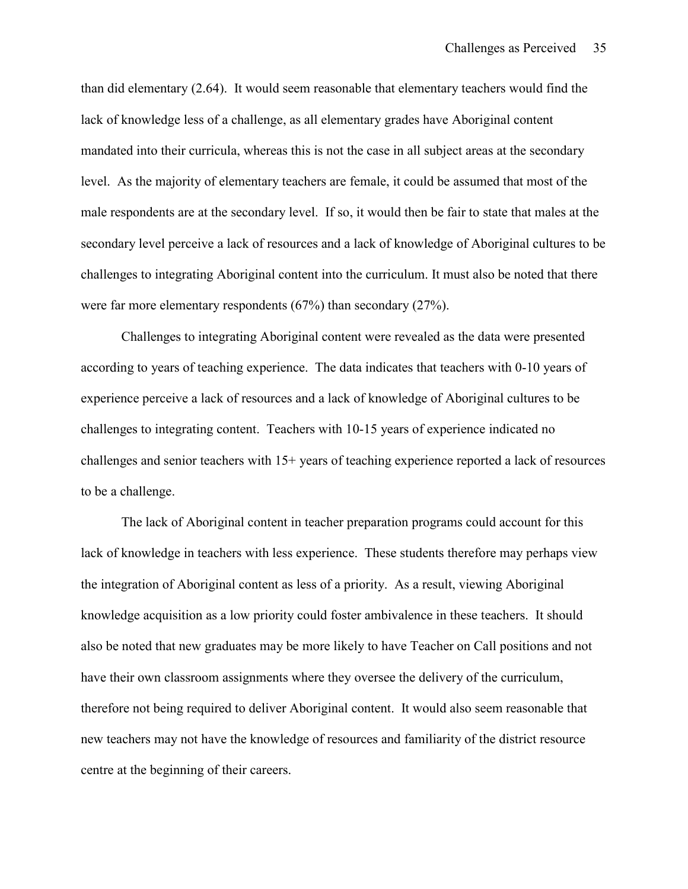than did elementary (2.64). It would seem reasonable that elementary teachers would find the lack of knowledge less of a challenge, as all elementary grades have Aboriginal content mandated into their curricula, whereas this is not the case in all subject areas at the secondary level. As the majority of elementary teachers are female, it could be assumed that most of the male respondents are at the secondary level. If so, it would then be fair to state that males at the secondary level perceive a lack of resources and a lack of knowledge of Aboriginal cultures to be challenges to integrating Aboriginal content into the curriculum. It must also be noted that there were far more elementary respondents (67%) than secondary (27%).

Challenges to integrating Aboriginal content were revealed as the data were presented according to years of teaching experience. The data indicates that teachers with 0-10 years of experience perceive a lack of resources and a lack of knowledge of Aboriginal cultures to be challenges to integrating content. Teachers with 10-15 years of experience indicated no challenges and senior teachers with 15+ years of teaching experience reported a lack of resources to be a challenge.

The lack of Aboriginal content in teacher preparation programs could account for this lack of knowledge in teachers with less experience. These students therefore may perhaps view the integration of Aboriginal content as less of a priority. As a result, viewing Aboriginal knowledge acquisition as a low priority could foster ambivalence in these teachers. It should also be noted that new graduates may be more likely to have Teacher on Call positions and not have their own classroom assignments where they oversee the delivery of the curriculum, therefore not being required to deliver Aboriginal content. It would also seem reasonable that new teachers may not have the knowledge of resources and familiarity of the district resource centre at the beginning of their careers.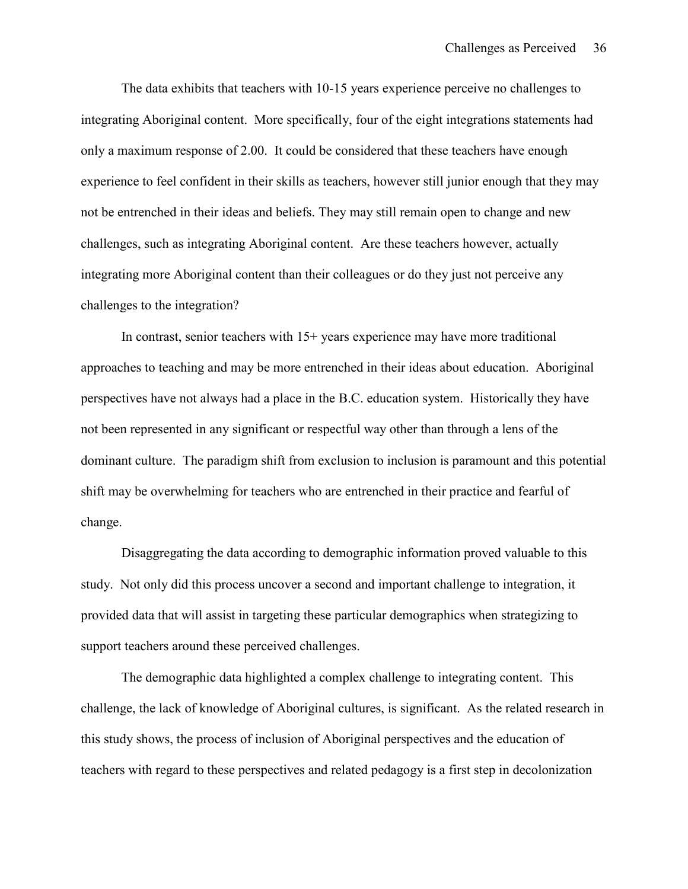The data exhibits that teachers with 10-15 years experience perceive no challenges to integrating Aboriginal content. More specifically, four of the eight integrations statements had only a maximum response of 2.00. It could be considered that these teachers have enough experience to feel confident in their skills as teachers, however still junior enough that they may not be entrenched in their ideas and beliefs. They may still remain open to change and new challenges, such as integrating Aboriginal content. Are these teachers however, actually integrating more Aboriginal content than their colleagues or do they just not perceive any challenges to the integration?

In contrast, senior teachers with 15+ years experience may have more traditional approaches to teaching and may be more entrenched in their ideas about education. Aboriginal perspectives have not always had a place in the B.C. education system. Historically they have not been represented in any significant or respectful way other than through a lens of the dominant culture. The paradigm shift from exclusion to inclusion is paramount and this potential shift may be overwhelming for teachers who are entrenched in their practice and fearful of change.

Disaggregating the data according to demographic information proved valuable to this study. Not only did this process uncover a second and important challenge to integration, it provided data that will assist in targeting these particular demographics when strategizing to support teachers around these perceived challenges.

The demographic data highlighted a complex challenge to integrating content. This challenge, the lack of knowledge of Aboriginal cultures, is significant. As the related research in this study shows, the process of inclusion of Aboriginal perspectives and the education of teachers with regard to these perspectives and related pedagogy is a first step in decolonization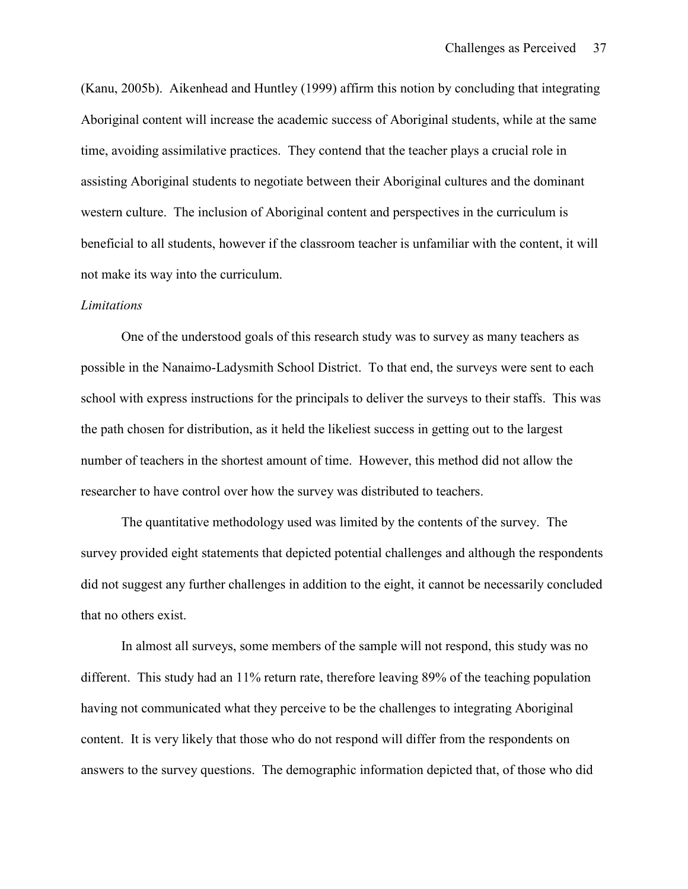(Kanu, 2005b). Aikenhead and Huntley (1999) affirm this notion by concluding that integrating Aboriginal content will increase the academic success of Aboriginal students, while at the same time, avoiding assimilative practices. They contend that the teacher plays a crucial role in assisting Aboriginal students to negotiate between their Aboriginal cultures and the dominant western culture. The inclusion of Aboriginal content and perspectives in the curriculum is beneficial to all students, however if the classroom teacher is unfamiliar with the content, it will not make its way into the curriculum.

#### *Limitations*

One of the understood goals of this research study was to survey as many teachers as possible in the Nanaimo-Ladysmith School District. To that end, the surveys were sent to each school with express instructions for the principals to deliver the surveys to their staffs. This was the path chosen for distribution, as it held the likeliest success in getting out to the largest number of teachers in the shortest amount of time. However, this method did not allow the researcher to have control over how the survey was distributed to teachers.

The quantitative methodology used was limited by the contents of the survey. The survey provided eight statements that depicted potential challenges and although the respondents did not suggest any further challenges in addition to the eight, it cannot be necessarily concluded that no others exist.

In almost all surveys, some members of the sample will not respond, this study was no different. This study had an 11% return rate, therefore leaving 89% of the teaching population having not communicated what they perceive to be the challenges to integrating Aboriginal content. It is very likely that those who do not respond will differ from the respondents on answers to the survey questions. The demographic information depicted that, of those who did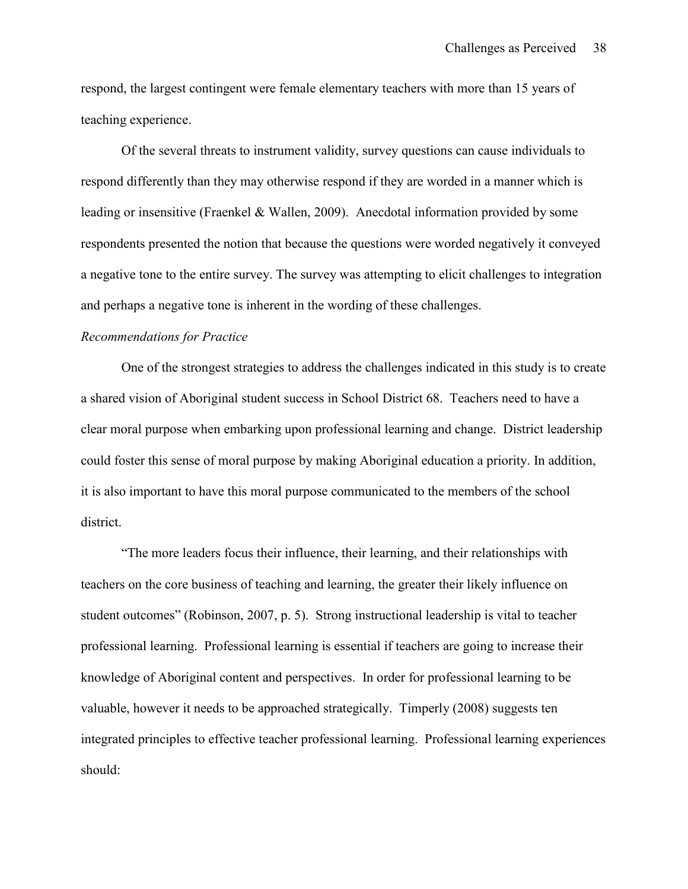respond, the largest contingent were female elementary teachers with more than 15 years of teaching experience.

Of the several threats to instrument validity, survey questions can cause individuals to respond differently than they may otherwise respond if they are worded in a manner which is leading or insensitive (Fraenkel & Wallen, 2009). Anecdotal information provided by some respondents presented the notion that because the questions were worded negatively it conveyed a negative tone to the entire survey. The survey was attempting to elicit challenges to integration and perhaps a negative tone is inherent in the wording of these challenges.

#### *Recommendations for Practice*

One of the strongest strategies to address the challenges indicated in this study is to create a shared vision of Aboriginal student success in School District 68. Teachers need to have a clear moral purpose when embarking upon professional learning and change. District leadership could foster this sense of moral purpose by making Aboriginal education a priority. In addition, it is also important to have this moral purpose communicated to the members of the school district.

"The more leaders focus their influence, their learning, and their relationships with teachers on the core business of teaching and learning, the greater their likely influence on student outcomes" (Robinson, 2007, p. 5). Strong instructional leadership is vital to teacher professional learning. Professional learning is essential if teachers are going to increase their knowledge of Aboriginal content and perspectives. In order for professional learning to be valuable, however it needs to be approached strategically. Timperly (2008) suggests ten integrated principles to effective teacher professional learning. Professional learning experiences should: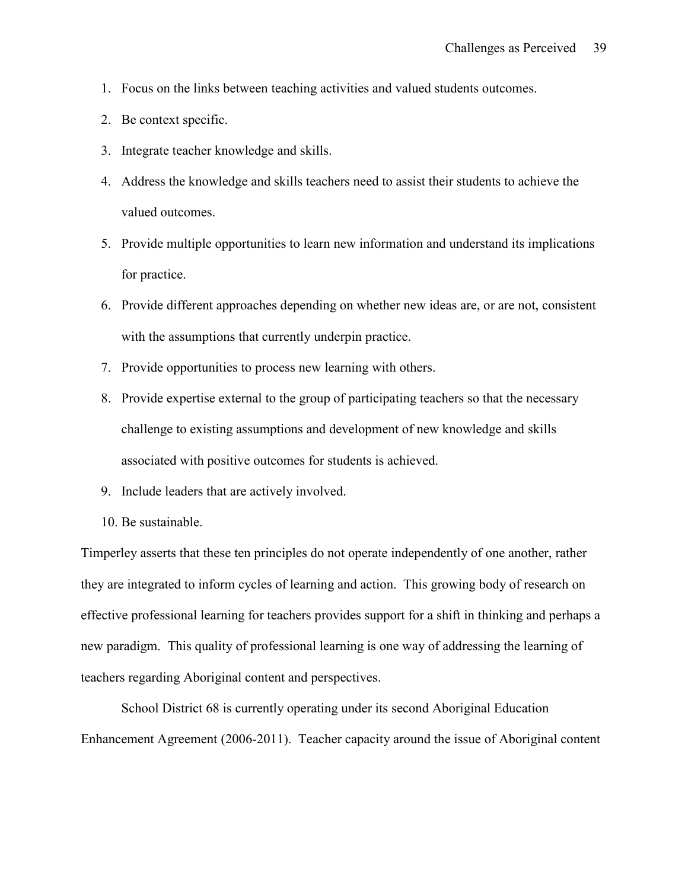- 1. Focus on the links between teaching activities and valued students outcomes.
- 2. Be context specific.
- 3. Integrate teacher knowledge and skills.
- 4. Address the knowledge and skills teachers need to assist their students to achieve the valued outcomes.
- 5. Provide multiple opportunities to learn new information and understand its implications for practice.
- 6. Provide different approaches depending on whether new ideas are, or are not, consistent with the assumptions that currently underpin practice.
- 7. Provide opportunities to process new learning with others.
- 8. Provide expertise external to the group of participating teachers so that the necessary challenge to existing assumptions and development of new knowledge and skills associated with positive outcomes for students is achieved.
- 9. Include leaders that are actively involved.
- 10. Be sustainable.

Timperley asserts that these ten principles do not operate independently of one another, rather they are integrated to inform cycles of learning and action. This growing body of research on effective professional learning for teachers provides support for a shift in thinking and perhaps a new paradigm. This quality of professional learning is one way of addressing the learning of teachers regarding Aboriginal content and perspectives.

School District 68 is currently operating under its second Aboriginal Education Enhancement Agreement (2006-2011). Teacher capacity around the issue of Aboriginal content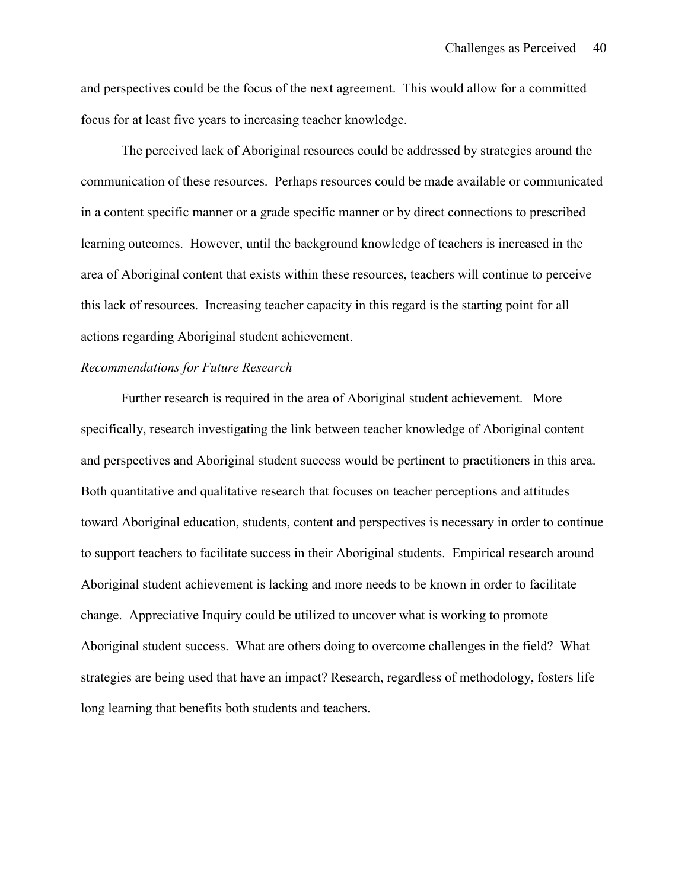and perspectives could be the focus of the next agreement. This would allow for a committed focus for at least five years to increasing teacher knowledge.

The perceived lack of Aboriginal resources could be addressed by strategies around the communication of these resources. Perhaps resources could be made available or communicated in a content specific manner or a grade specific manner or by direct connections to prescribed learning outcomes. However, until the background knowledge of teachers is increased in the area of Aboriginal content that exists within these resources, teachers will continue to perceive this lack of resources. Increasing teacher capacity in this regard is the starting point for all actions regarding Aboriginal student achievement.

#### *Recommendations for Future Research*

Further research is required in the area of Aboriginal student achievement. More specifically, research investigating the link between teacher knowledge of Aboriginal content and perspectives and Aboriginal student success would be pertinent to practitioners in this area. Both quantitative and qualitative research that focuses on teacher perceptions and attitudes toward Aboriginal education, students, content and perspectives is necessary in order to continue to support teachers to facilitate success in their Aboriginal students. Empirical research around Aboriginal student achievement is lacking and more needs to be known in order to facilitate change. Appreciative Inquiry could be utilized to uncover what is working to promote Aboriginal student success. What are others doing to overcome challenges in the field? What strategies are being used that have an impact? Research, regardless of methodology, fosters life long learning that benefits both students and teachers.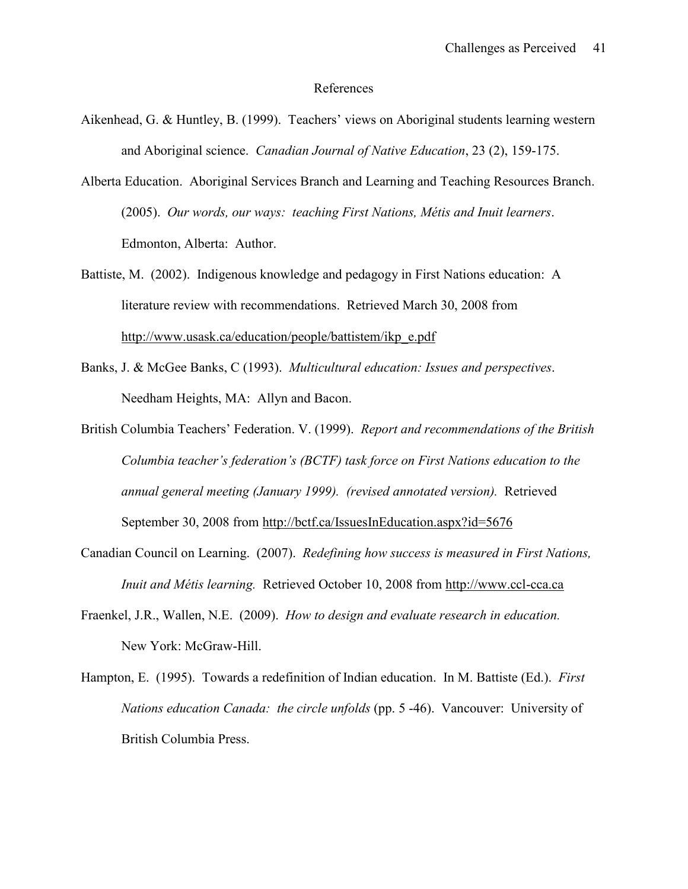#### References

- Aikenhead, G. & Huntley, B. (1999). Teachers' views on Aboriginal students learning western and Aboriginal science. *Canadian Journal of Native Education*, 23 (2), 159-175.
- Alberta Education. Aboriginal Services Branch and Learning and Teaching Resources Branch. (2005). *Our words, our ways: teaching First Nations, Métis and Inuit learners*. Edmonton, Alberta: Author.
- Battiste, M. (2002). Indigenous knowledge and pedagogy in First Nations education: A literature review with recommendations. Retrieved March 30, 2008 from [http://www.usask.ca/education/people/battistem/ikp\\_e.pdf](http://www.usask.ca/education/people/battistem/ikp_e.pdf)
- Banks, J. & McGee Banks, C (1993). *Multicultural education: Issues and perspectives*. Needham Heights, MA: Allyn and Bacon.
- British Columbia Teachers' Federation. V. (1999). *Report and recommendations of the British Columbia teacher's federation's (BCTF) task force on First Nations education to the annual general meeting (January 1999). (revised annotated version).* Retrieved September 30, 2008 from<http://bctf.ca/IssuesInEducation.aspx?id=5676>
- Canadian Council on Learning. (2007). *Redefining how success is measured in First Nations, Inuit and Métis learning.* Retrieved October 10, 2008 from [http://www.ccl-cca.ca](http://www.ccl-cca.ca/)
- Fraenkel, J.R., Wallen, N.E. (2009). *How to design and evaluate research in education.* New York: McGraw-Hill.
- Hampton, E. (1995). Towards a redefinition of Indian education. In M. Battiste (Ed.). *First Nations education Canada: the circle unfolds* (pp. 5 -46). Vancouver: University of British Columbia Press.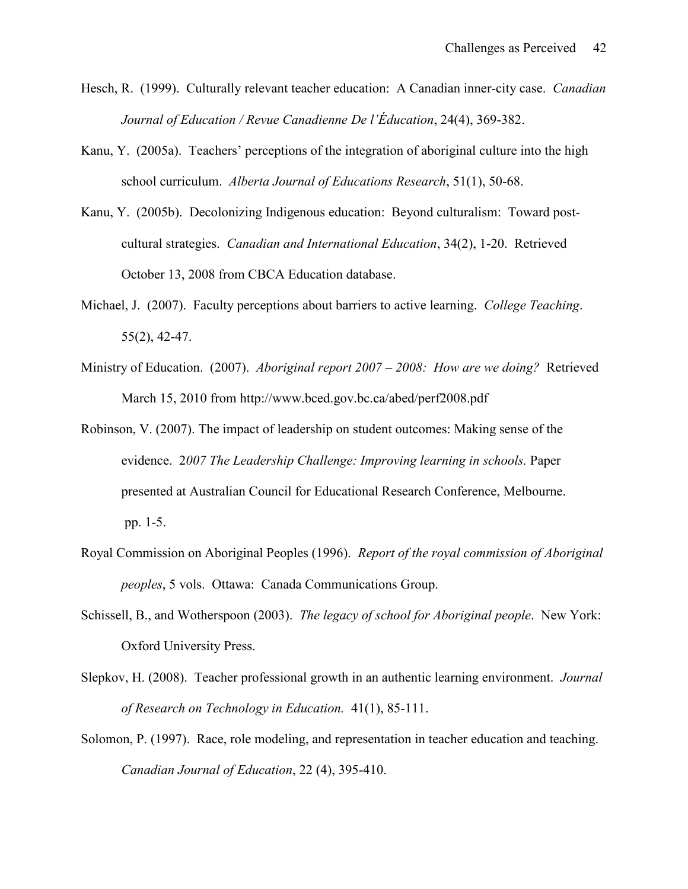- Hesch, R. (1999). Culturally relevant teacher education: A Canadian inner-city case. *Canadian Journal of Education / Revue Canadienne De l'Éducation*, 24(4), 369-382.
- Kanu, Y. (2005a). Teachers' perceptions of the integration of aboriginal culture into the high school curriculum. *Alberta Journal of Educations Research*, 51(1), 50-68.
- Kanu, Y. (2005b). Decolonizing Indigenous education: Beyond culturalism: Toward postcultural strategies. *Canadian and International Education*, 34(2), 1-20. Retrieved October 13, 2008 from CBCA Education database.
- Michael, J. (2007). Faculty perceptions about barriers to active learning. *College Teaching*. 55(2), 42-47.
- Ministry of Education. (2007). *Aboriginal report 2007 – 2008: How are we doing?* Retrieved March 15, 2010 from http://www.bced.gov.bc.ca/abed/perf2008.pdf
- Robinson, V. (2007). The impact of leadership on student outcomes: Making sense of the evidence. 2*007 The Leadership Challenge: Improving learning in schools.* Paper presented at Australian Council for Educational Research Conference, Melbourne. pp. 1-5.
- Royal Commission on Aboriginal Peoples (1996). *Report of the royal commission of Aboriginal peoples*, 5 vols. Ottawa: Canada Communications Group.
- Schissell, B., and Wotherspoon (2003). *The legacy of school for Aboriginal people*. New York: Oxford University Press.
- Slepkov, H. (2008). Teacher professional growth in an authentic learning environment. *Journal of Research on Technology in Education.* 41(1), 85-111.
- Solomon, P. (1997). Race, role modeling, and representation in teacher education and teaching. *Canadian Journal of Education*, 22 (4), 395-410.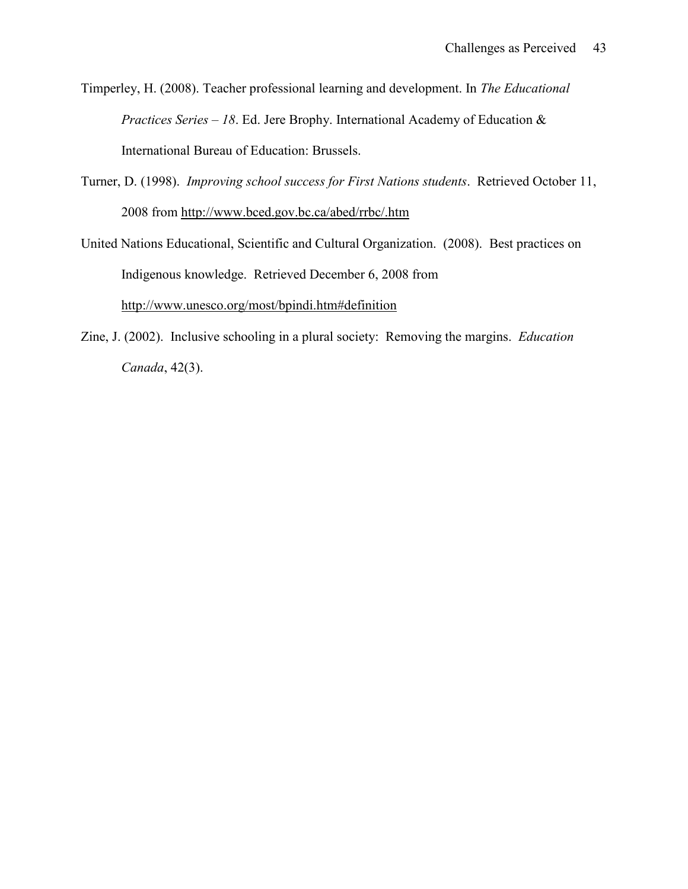Timperley, H. (2008). Teacher professional learning and development. In *The Educational Practices Series – 18*. Ed. Jere Brophy. International Academy of Education & International Bureau of Education: Brussels.

- Turner, D. (1998). *Improving school success for First Nations students*. Retrieved October 11, 2008 from<http://www.bced.gov.bc.ca/abed/rrbc/.htm>
- United Nations Educational, Scientific and Cultural Organization. (2008). Best practices on Indigenous knowledge. Retrieved December 6, 2008 from <http://www.unesco.org/most/bpindi.htm#definition>
- Zine, J. (2002). Inclusive schooling in a plural society: Removing the margins. *Education Canada*, 42(3).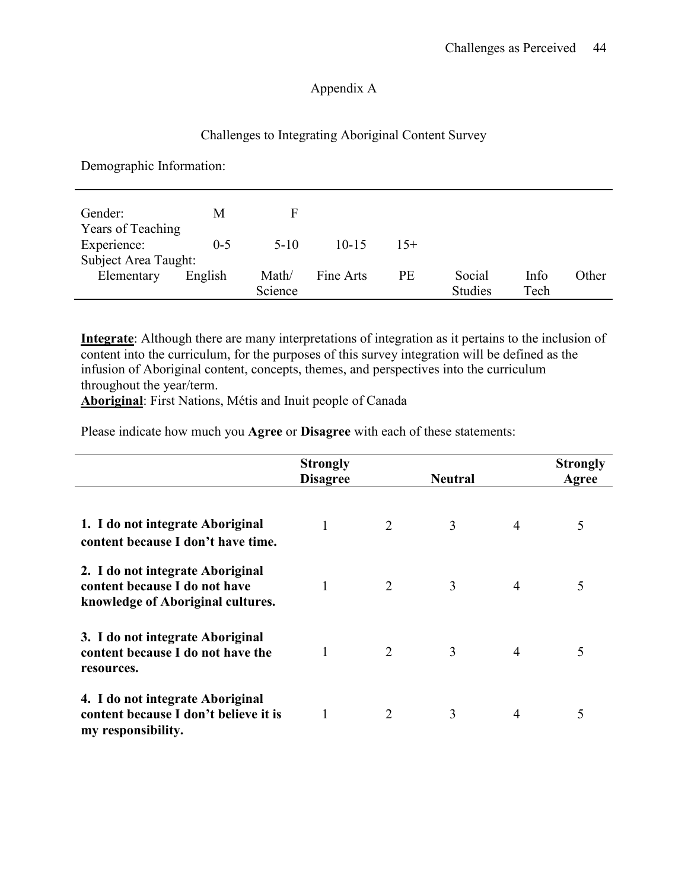### Appendix A

### Challenges to Integrating Aboriginal Content Survey

Demographic Information:

| Gender:              | M       |         |           |       |                |      |       |
|----------------------|---------|---------|-----------|-------|----------------|------|-------|
| Years of Teaching    |         |         |           |       |                |      |       |
| Experience:          | $0 - 5$ | $5-10$  | $10 - 15$ | $15+$ |                |      |       |
| Subject Area Taught: |         |         |           |       |                |      |       |
| Elementary           | English | Math/   | Fine Arts | PE    | Social         | Info | Other |
|                      |         | Science |           |       | <b>Studies</b> | Tech |       |

**Integrate**: Although there are many interpretations of integration as it pertains to the inclusion of content into the curriculum, for the purposes of this survey integration will be defined as the infusion of Aboriginal content, concepts, themes, and perspectives into the curriculum throughout the year/term.

**Aboriginal**: First Nations, Métis and Inuit people of Canada

Please indicate how much you **Agree** or **Disagree** with each of these statements:

|                                                                                                        | <b>Strongly</b><br><b>Disagree</b> |                             | <b>Neutral</b> |                | <b>Strongly</b><br>Agree |
|--------------------------------------------------------------------------------------------------------|------------------------------------|-----------------------------|----------------|----------------|--------------------------|
| 1. I do not integrate Aboriginal<br>content because I don't have time.                                 | 1                                  | $\overline{2}$              | 3              | $\overline{4}$ | 5                        |
| 2. I do not integrate Aboriginal<br>content because I do not have<br>knowledge of Aboriginal cultures. | 1                                  | 2                           | 3              | $\overline{4}$ | 5                        |
| 3. I do not integrate Aboriginal<br>content because I do not have the<br>resources.                    |                                    | 2                           | 3              | 4              | 5                        |
| 4. I do not integrate Aboriginal<br>content because I don't believe it is<br>my responsibility.        |                                    | $\mathcal{D}_{\mathcal{L}}$ | 3              | 4              | 5                        |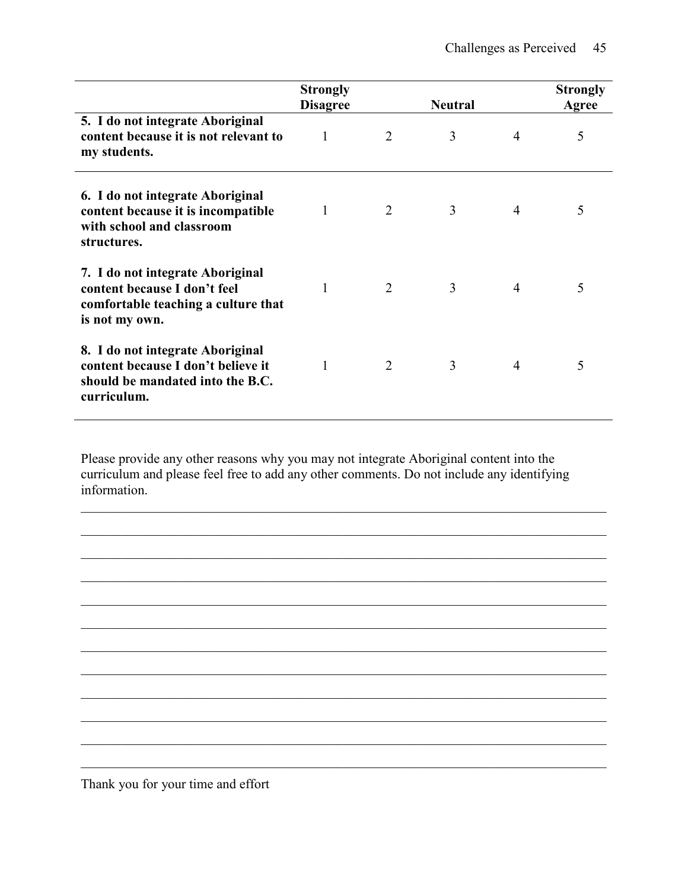|                                                                                                                           | <b>Strongly</b><br><b>Disagree</b> |                             | <b>Neutral</b> |                | <b>Strongly</b><br>Agree |
|---------------------------------------------------------------------------------------------------------------------------|------------------------------------|-----------------------------|----------------|----------------|--------------------------|
| 5. I do not integrate Aboriginal<br>content because it is not relevant to<br>my students.                                 | 1                                  | 2                           | 3              | 4              | 5                        |
| 6. I do not integrate Aboriginal<br>content because it is incompatible<br>with school and classroom<br>structures.        | 1                                  | 2                           | 3              | 4              | 5                        |
| 7. I do not integrate Aboriginal<br>content because I don't feel<br>comfortable teaching a culture that<br>is not my own. | 1                                  | 2                           | 3              | $\overline{4}$ | 5                        |
| 8. I do not integrate Aboriginal<br>content because I don't believe it<br>should be mandated into the B.C.<br>curriculum. | 1                                  | $\mathcal{D}_{\mathcal{L}}$ | 3              | 4              | 5                        |

Please provide any other reasons why you may not integrate Aboriginal content into the curriculum and please feel free to add any other comments. Do not include any identifying information.

 $\mathcal{L}_\mathcal{L} = \{ \mathcal{L}_\mathcal{L} = \{ \mathcal{L}_\mathcal{L} = \{ \mathcal{L}_\mathcal{L} = \{ \mathcal{L}_\mathcal{L} = \{ \mathcal{L}_\mathcal{L} = \{ \mathcal{L}_\mathcal{L} = \{ \mathcal{L}_\mathcal{L} = \{ \mathcal{L}_\mathcal{L} = \{ \mathcal{L}_\mathcal{L} = \{ \mathcal{L}_\mathcal{L} = \{ \mathcal{L}_\mathcal{L} = \{ \mathcal{L}_\mathcal{L} = \{ \mathcal{L}_\mathcal{L} = \{ \mathcal{L}_\mathcal{$ 

 $\mathcal{L}_\mathcal{L} = \{ \mathcal{L}_\mathcal{L} = \{ \mathcal{L}_\mathcal{L} = \{ \mathcal{L}_\mathcal{L} = \{ \mathcal{L}_\mathcal{L} = \{ \mathcal{L}_\mathcal{L} = \{ \mathcal{L}_\mathcal{L} = \{ \mathcal{L}_\mathcal{L} = \{ \mathcal{L}_\mathcal{L} = \{ \mathcal{L}_\mathcal{L} = \{ \mathcal{L}_\mathcal{L} = \{ \mathcal{L}_\mathcal{L} = \{ \mathcal{L}_\mathcal{L} = \{ \mathcal{L}_\mathcal{L} = \{ \mathcal{L}_\mathcal{$ 

 $\mathcal{L}_\mathcal{L} = \{ \mathcal{L}_\mathcal{L} = \{ \mathcal{L}_\mathcal{L} = \{ \mathcal{L}_\mathcal{L} = \{ \mathcal{L}_\mathcal{L} = \{ \mathcal{L}_\mathcal{L} = \{ \mathcal{L}_\mathcal{L} = \{ \mathcal{L}_\mathcal{L} = \{ \mathcal{L}_\mathcal{L} = \{ \mathcal{L}_\mathcal{L} = \{ \mathcal{L}_\mathcal{L} = \{ \mathcal{L}_\mathcal{L} = \{ \mathcal{L}_\mathcal{L} = \{ \mathcal{L}_\mathcal{L} = \{ \mathcal{L}_\mathcal{$ 

 $\mathcal{L}_\mathcal{L} = \{ \mathcal{L}_\mathcal{L} = \{ \mathcal{L}_\mathcal{L} = \{ \mathcal{L}_\mathcal{L} = \{ \mathcal{L}_\mathcal{L} = \{ \mathcal{L}_\mathcal{L} = \{ \mathcal{L}_\mathcal{L} = \{ \mathcal{L}_\mathcal{L} = \{ \mathcal{L}_\mathcal{L} = \{ \mathcal{L}_\mathcal{L} = \{ \mathcal{L}_\mathcal{L} = \{ \mathcal{L}_\mathcal{L} = \{ \mathcal{L}_\mathcal{L} = \{ \mathcal{L}_\mathcal{L} = \{ \mathcal{L}_\mathcal{$ 

 $\mathcal{L}_\mathcal{L} = \{ \mathcal{L}_\mathcal{L} = \{ \mathcal{L}_\mathcal{L} = \{ \mathcal{L}_\mathcal{L} = \{ \mathcal{L}_\mathcal{L} = \{ \mathcal{L}_\mathcal{L} = \{ \mathcal{L}_\mathcal{L} = \{ \mathcal{L}_\mathcal{L} = \{ \mathcal{L}_\mathcal{L} = \{ \mathcal{L}_\mathcal{L} = \{ \mathcal{L}_\mathcal{L} = \{ \mathcal{L}_\mathcal{L} = \{ \mathcal{L}_\mathcal{L} = \{ \mathcal{L}_\mathcal{L} = \{ \mathcal{L}_\mathcal{$ 

 $\mathcal{L}_\mathcal{L} = \{ \mathcal{L}_\mathcal{L} = \{ \mathcal{L}_\mathcal{L} = \{ \mathcal{L}_\mathcal{L} = \{ \mathcal{L}_\mathcal{L} = \{ \mathcal{L}_\mathcal{L} = \{ \mathcal{L}_\mathcal{L} = \{ \mathcal{L}_\mathcal{L} = \{ \mathcal{L}_\mathcal{L} = \{ \mathcal{L}_\mathcal{L} = \{ \mathcal{L}_\mathcal{L} = \{ \mathcal{L}_\mathcal{L} = \{ \mathcal{L}_\mathcal{L} = \{ \mathcal{L}_\mathcal{L} = \{ \mathcal{L}_\mathcal{$ 

 $\mathcal{L}_\mathcal{L} = \{ \mathcal{L}_\mathcal{L} = \{ \mathcal{L}_\mathcal{L} = \{ \mathcal{L}_\mathcal{L} = \{ \mathcal{L}_\mathcal{L} = \{ \mathcal{L}_\mathcal{L} = \{ \mathcal{L}_\mathcal{L} = \{ \mathcal{L}_\mathcal{L} = \{ \mathcal{L}_\mathcal{L} = \{ \mathcal{L}_\mathcal{L} = \{ \mathcal{L}_\mathcal{L} = \{ \mathcal{L}_\mathcal{L} = \{ \mathcal{L}_\mathcal{L} = \{ \mathcal{L}_\mathcal{L} = \{ \mathcal{L}_\mathcal{$ 

 $\mathcal{L}_\mathcal{L} = \{ \mathcal{L}_\mathcal{L} = \{ \mathcal{L}_\mathcal{L} = \{ \mathcal{L}_\mathcal{L} = \{ \mathcal{L}_\mathcal{L} = \{ \mathcal{L}_\mathcal{L} = \{ \mathcal{L}_\mathcal{L} = \{ \mathcal{L}_\mathcal{L} = \{ \mathcal{L}_\mathcal{L} = \{ \mathcal{L}_\mathcal{L} = \{ \mathcal{L}_\mathcal{L} = \{ \mathcal{L}_\mathcal{L} = \{ \mathcal{L}_\mathcal{L} = \{ \mathcal{L}_\mathcal{L} = \{ \mathcal{L}_\mathcal{$ 

 $\mathcal{L}_\mathcal{L} = \{ \mathcal{L}_\mathcal{L} = \{ \mathcal{L}_\mathcal{L} = \{ \mathcal{L}_\mathcal{L} = \{ \mathcal{L}_\mathcal{L} = \{ \mathcal{L}_\mathcal{L} = \{ \mathcal{L}_\mathcal{L} = \{ \mathcal{L}_\mathcal{L} = \{ \mathcal{L}_\mathcal{L} = \{ \mathcal{L}_\mathcal{L} = \{ \mathcal{L}_\mathcal{L} = \{ \mathcal{L}_\mathcal{L} = \{ \mathcal{L}_\mathcal{L} = \{ \mathcal{L}_\mathcal{L} = \{ \mathcal{L}_\mathcal{$ 

 $\mathcal{L}_\mathcal{L} = \{ \mathcal{L}_\mathcal{L} = \{ \mathcal{L}_\mathcal{L} = \{ \mathcal{L}_\mathcal{L} = \{ \mathcal{L}_\mathcal{L} = \{ \mathcal{L}_\mathcal{L} = \{ \mathcal{L}_\mathcal{L} = \{ \mathcal{L}_\mathcal{L} = \{ \mathcal{L}_\mathcal{L} = \{ \mathcal{L}_\mathcal{L} = \{ \mathcal{L}_\mathcal{L} = \{ \mathcal{L}_\mathcal{L} = \{ \mathcal{L}_\mathcal{L} = \{ \mathcal{L}_\mathcal{L} = \{ \mathcal{L}_\mathcal{$ 

 $\mathcal{L}_\mathcal{L} = \{ \mathcal{L}_\mathcal{L} = \{ \mathcal{L}_\mathcal{L} = \{ \mathcal{L}_\mathcal{L} = \{ \mathcal{L}_\mathcal{L} = \{ \mathcal{L}_\mathcal{L} = \{ \mathcal{L}_\mathcal{L} = \{ \mathcal{L}_\mathcal{L} = \{ \mathcal{L}_\mathcal{L} = \{ \mathcal{L}_\mathcal{L} = \{ \mathcal{L}_\mathcal{L} = \{ \mathcal{L}_\mathcal{L} = \{ \mathcal{L}_\mathcal{L} = \{ \mathcal{L}_\mathcal{L} = \{ \mathcal{L}_\mathcal{$ 

 $\mathcal{L}_\mathcal{L} = \{ \mathcal{L}_\mathcal{L} = \{ \mathcal{L}_\mathcal{L} = \{ \mathcal{L}_\mathcal{L} = \{ \mathcal{L}_\mathcal{L} = \{ \mathcal{L}_\mathcal{L} = \{ \mathcal{L}_\mathcal{L} = \{ \mathcal{L}_\mathcal{L} = \{ \mathcal{L}_\mathcal{L} = \{ \mathcal{L}_\mathcal{L} = \{ \mathcal{L}_\mathcal{L} = \{ \mathcal{L}_\mathcal{L} = \{ \mathcal{L}_\mathcal{L} = \{ \mathcal{L}_\mathcal{L} = \{ \mathcal{L}_\mathcal{$ 

Thank you for your time and effort